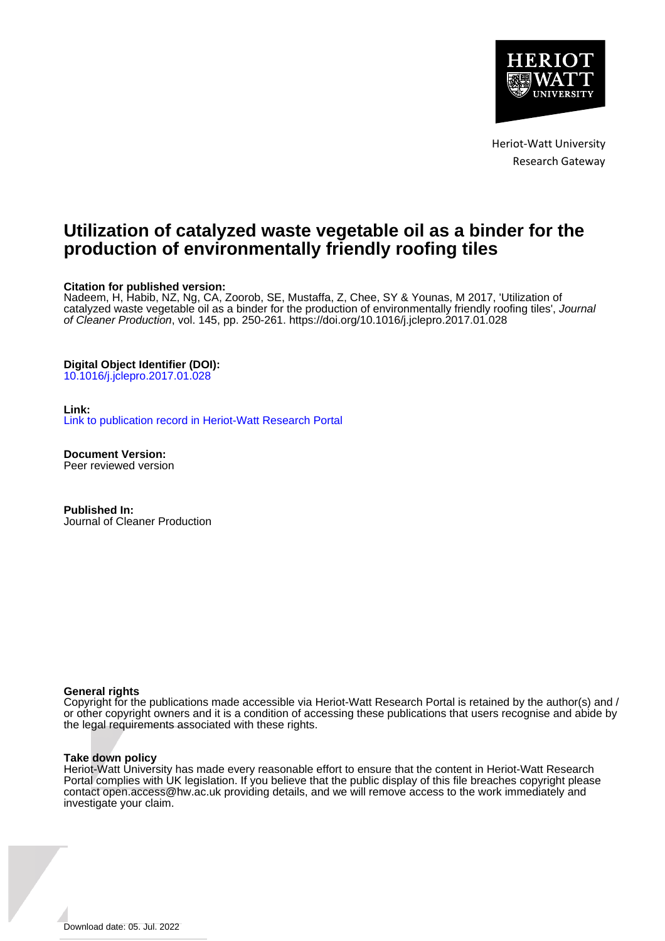

Heriot-Watt University Research Gateway

# **Utilization of catalyzed waste vegetable oil as a binder for the production of environmentally friendly roofing tiles**

#### **Citation for published version:**

Nadeem, H, Habib, NZ, Ng, CA, Zoorob, SE, Mustaffa, Z, Chee, SY & Younas, M 2017, 'Utilization of catalyzed waste vegetable oil as a binder for the production of environmentally friendly roofing tiles', Journal of Cleaner Production, vol. 145, pp. 250-261. <https://doi.org/10.1016/j.jclepro.2017.01.028>

#### **Digital Object Identifier (DOI):**

[10.1016/j.jclepro.2017.01.028](https://doi.org/10.1016/j.jclepro.2017.01.028)

#### **Link:**

[Link to publication record in Heriot-Watt Research Portal](https://researchportal.hw.ac.uk/en/publications/c63af4d6-6780-41fc-a21a-8bbbd0b0fb84)

**Document Version:** Peer reviewed version

**Published In:** Journal of Cleaner Production

#### **General rights**

Copyright for the publications made accessible via Heriot-Watt Research Portal is retained by the author(s) and / or other copyright owners and it is a condition of accessing these publications that users recognise and abide by the legal requirements associated with these rights.

#### **Take down policy**

Heriot-Watt University has made every reasonable effort to ensure that the content in Heriot-Watt Research Portal complies with UK legislation. If you believe that the public display of this file breaches copyright please contact open.access@hw.ac.uk providing details, and we will remove access to the work immediately and investigate your claim.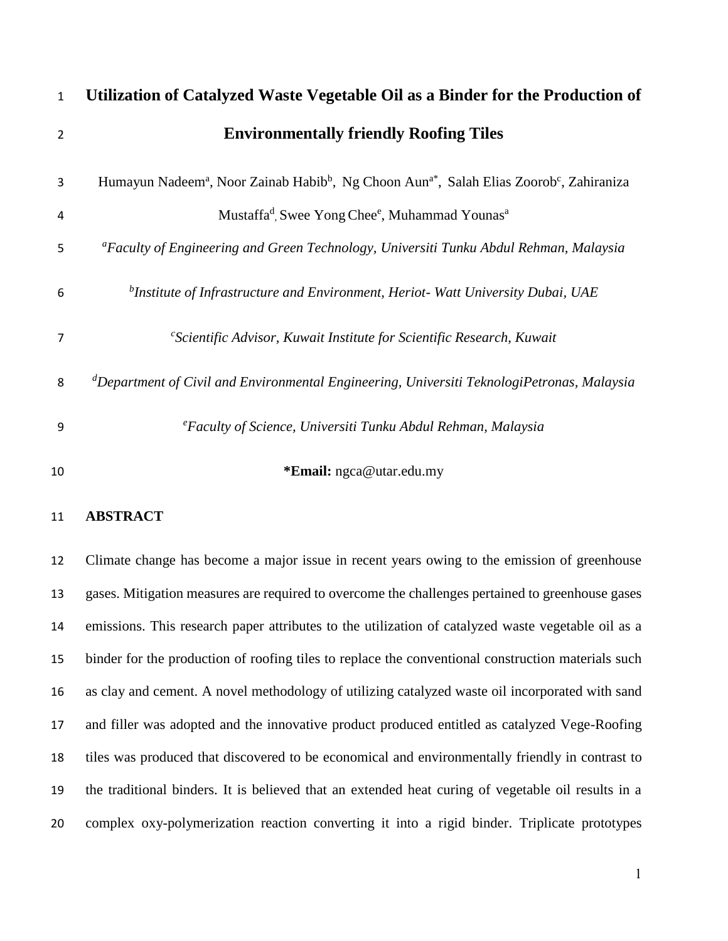| $\mathbf{1}$   | Utilization of Catalyzed Waste Vegetable Oil as a Binder for the Production of                                                           |
|----------------|------------------------------------------------------------------------------------------------------------------------------------------|
| $\overline{2}$ | <b>Environmentally friendly Roofing Tiles</b>                                                                                            |
| 3              | Humayun Nadeem <sup>a</sup> , Noor Zainab Habib <sup>b</sup> , Ng Choon Aun <sup>a*</sup> , Salah Elias Zoorob <sup>c</sup> , Zahiraniza |
| 4              | Mustaffa <sup>d</sup> , Swee Yong Chee <sup>e</sup> , Muhammad Younas <sup>a</sup>                                                       |
| 5              | <sup>a</sup> Faculty of Engineering and Green Technology, Universiti Tunku Abdul Rehman, Malaysia                                        |
| 6              | $^b$ Institute of Infrastructure and Environment, Heriot-Watt University Dubai, UAE                                                      |
| $\overline{7}$ | $\mathcal{C}$ Scientific Advisor, Kuwait Institute for Scientific Research, Kuwait                                                       |
| 8              | <sup>d</sup> Department of Civil and Environmental Engineering, Universiti TeknologiPetronas, Malaysia                                   |
| 9              | <sup>e</sup> Faculty of Science, Universiti Tunku Abdul Rehman, Malaysia                                                                 |
| 10             | *Email: ngca@utar.edu.my                                                                                                                 |

# **ABSTRACT**

 Climate change has become a major issue in recent years owing to the emission of greenhouse gases. Mitigation measures are required to overcome the challenges pertained to greenhouse gases emissions. This research paper attributes to the utilization of catalyzed waste vegetable oil as a binder for the production of roofing tiles to replace the conventional construction materials such as clay and cement. A novel methodology of utilizing catalyzed waste oil incorporated with sand and filler was adopted and the innovative product produced entitled as catalyzed Vege-Roofing tiles was produced that discovered to be economical and environmentally friendly in contrast to the traditional binders. It is believed that an extended heat curing of vegetable oil results in a complex oxy-polymerization reaction converting it into a rigid binder. Triplicate prototypes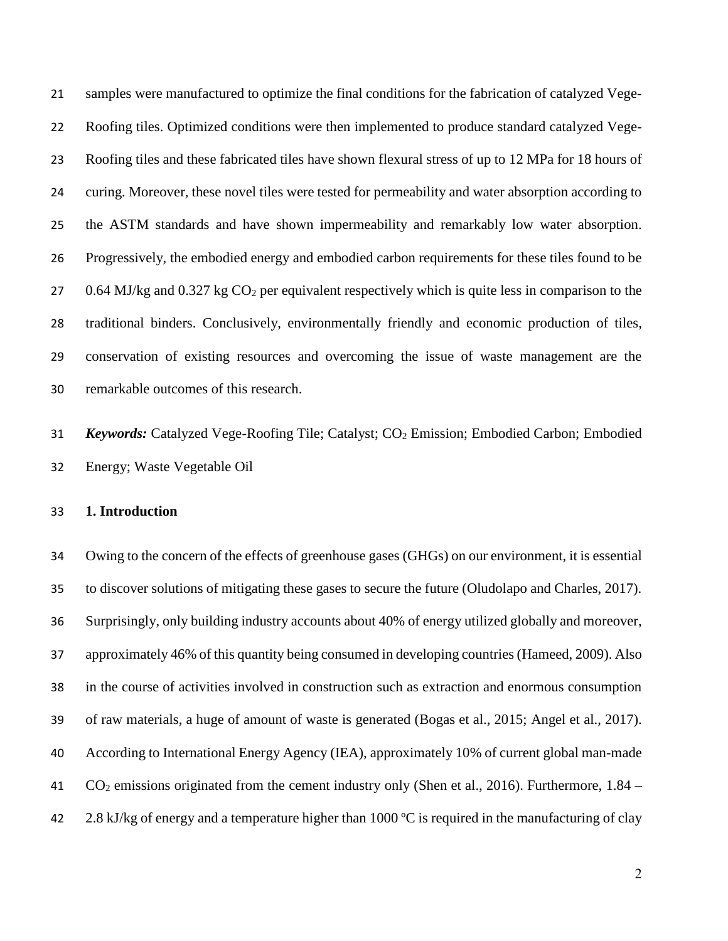samples were manufactured to optimize the final conditions for the fabrication of catalyzed Vege- Roofing tiles. Optimized conditions were then implemented to produce standard catalyzed Vege- Roofing tiles and these fabricated tiles have shown flexural stress of up to 12 MPa for 18 hours of curing. Moreover, these novel tiles were tested for permeability and water absorption according to the ASTM standards and have shown impermeability and remarkably low water absorption. Progressively, the embodied energy and embodied carbon requirements for these tiles found to be 27 0.64 MJ/kg and  $0.327$  kg  $CO<sub>2</sub>$  per equivalent respectively which is quite less in comparison to the traditional binders. Conclusively, environmentally friendly and economic production of tiles, conservation of existing resources and overcoming the issue of waste management are the remarkable outcomes of this research.

31 **Keywords:** Catalyzed Vege-Roofing Tile; Catalyst; CO<sub>2</sub> Emission; Embodied Carbon; Embodied Energy; Waste Vegetable Oil

## **1. Introduction**

 Owing to the concern of the effects of greenhouse gases (GHGs) on our environment, it is essential to discover solutions of mitigating these gases to secure the future (Oludolapo and Charles, 2017). Surprisingly, only building industry accounts about 40% of energy utilized globally and moreover, approximately 46% of this quantity being consumed in developing countries (Hameed, 2009). Also in the course of activities involved in construction such as extraction and enormous consumption of raw materials, a huge of amount of waste is generated (Bogas et al., 2015; Angel et al., 2017). According to International Energy Agency (IEA), approximately 10% of current global man-made CO<sup>2</sup> emissions originated from the cement industry only (Shen et al., 2016). Furthermore, 1.84 – 42 2.8 kJ/kg of energy and a temperature higher than 1000 °C is required in the manufacturing of clay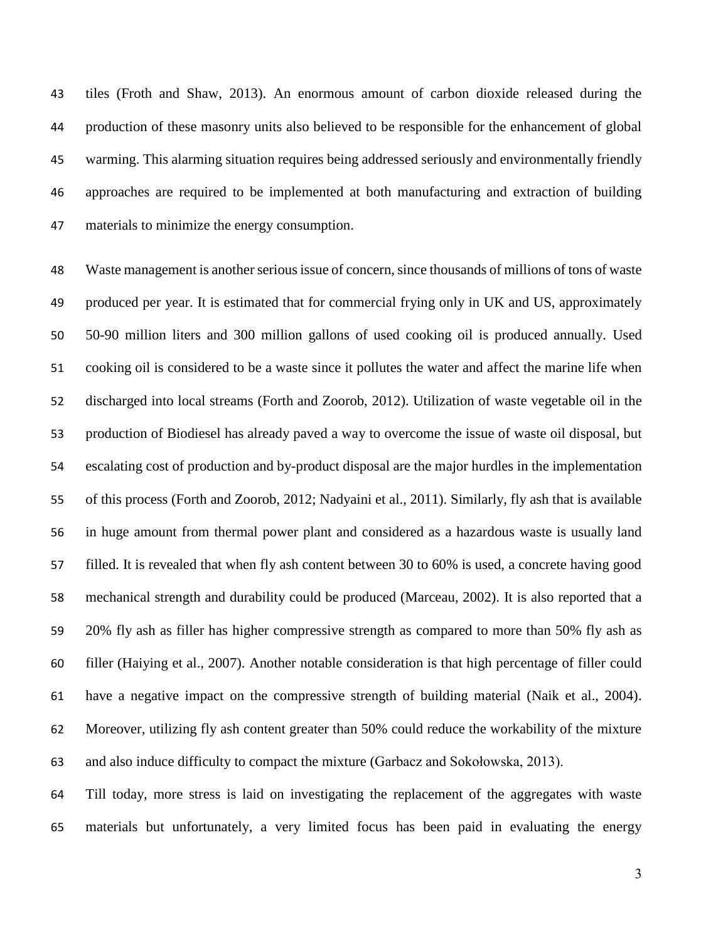tiles (Froth and Shaw, 2013). An enormous amount of carbon dioxide released during the production of these masonry units also believed to be responsible for the enhancement of global warming. This alarming situation requires being addressed seriously and environmentally friendly approaches are required to be implemented at both manufacturing and extraction of building materials to minimize the energy consumption.

 Waste management is another serious issue of concern, since thousands of millions of tons of waste produced per year. It is estimated that for commercial frying only in UK and US, approximately 50-90 million liters and 300 million gallons of used cooking oil is produced annually. Used cooking oil is considered to be a waste since it pollutes the water and affect the marine life when discharged into local streams (Forth and Zoorob, 2012). Utilization of waste vegetable oil in the production of Biodiesel has already paved a way to overcome the issue of waste oil disposal, but escalating cost of production and by-product disposal are the major hurdles in the implementation of this process (Forth and Zoorob, 2012; Nadyaini et al., 2011). Similarly, fly ash that is available in huge amount from thermal power plant and considered as a hazardous waste is usually land filled. It is revealed that when fly ash content between 30 to 60% is used, a concrete having good mechanical strength and durability could be produced (Marceau, 2002). It is also reported that a 20% fly ash as filler has higher compressive strength as compared to more than 50% fly ash as filler (Haiying et al., 2007). Another notable consideration is that high percentage of filler could have a negative impact on the compressive strength of building material (Naik et al., 2004). Moreover, utilizing fly ash content greater than 50% could reduce the workability of the mixture and also induce difficulty to compact the mixture (Garbacz and Sokołowska, 2013).

 Till today, more stress is laid on investigating the replacement of the aggregates with waste materials but unfortunately, a very limited focus has been paid in evaluating the energy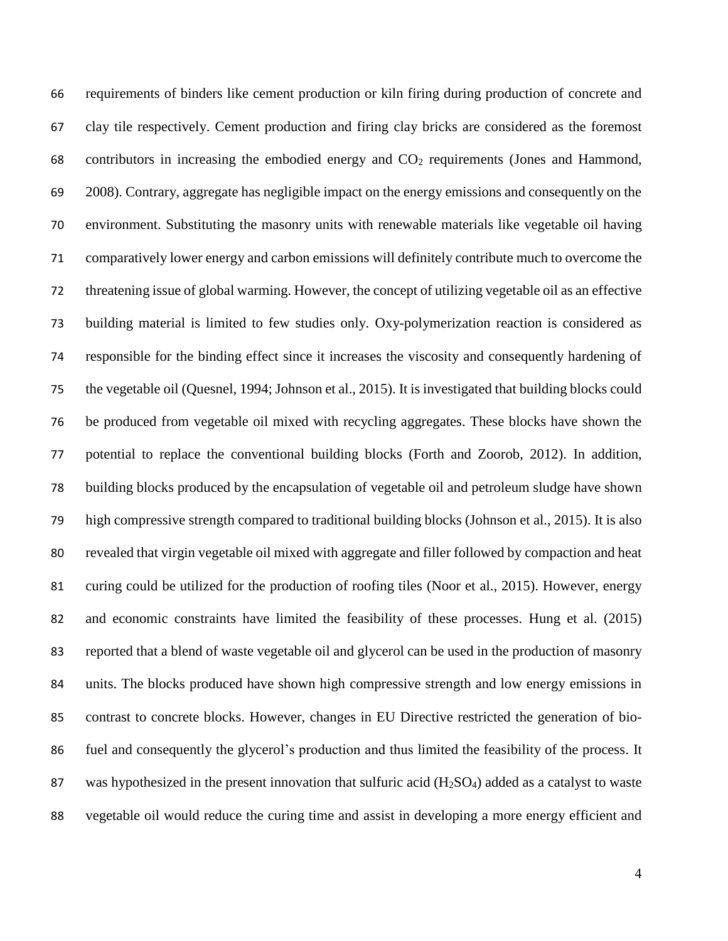requirements of binders like cement production or kiln firing during production of concrete and clay tile respectively. Cement production and firing clay bricks are considered as the foremost contributors in increasing the embodied energy and CO<sup>2</sup> requirements (Jones and Hammond, 2008). Contrary, aggregate has negligible impact on the energy emissions and consequently on the environment. Substituting the masonry units with renewable materials like vegetable oil having comparatively lower energy and carbon emissions will definitely contribute much to overcome the threatening issue of global warming. However, the concept of utilizing vegetable oil as an effective building material is limited to few studies only. Oxy-polymerization reaction is considered as responsible for the binding effect since it increases the viscosity and consequently hardening of the vegetable oil (Quesnel, 1994; Johnson et al., 2015). It is investigated that building blocks could be produced from vegetable oil mixed with recycling aggregates. These blocks have shown the potential to replace the conventional building blocks (Forth and Zoorob, 2012). In addition, building blocks produced by the encapsulation of vegetable oil and petroleum sludge have shown high compressive strength compared to traditional building blocks (Johnson et al., 2015). It is also revealed that virgin vegetable oil mixed with aggregate and filler followed by compaction and heat curing could be utilized for the production of roofing tiles (Noor et al., 2015). However, energy and economic constraints have limited the feasibility of these processes. Hung et al. (2015) reported that a blend of waste vegetable oil and glycerol can be used in the production of masonry units. The blocks produced have shown high compressive strength and low energy emissions in contrast to concrete blocks. However, changes in EU Directive restricted the generation of bio- fuel and consequently the glycerol's production and thus limited the feasibility of the process. It 87 was hypothesized in the present innovation that sulfuric acid  $(H_2SO_4)$  added as a catalyst to waste vegetable oil would reduce the curing time and assist in developing a more energy efficient and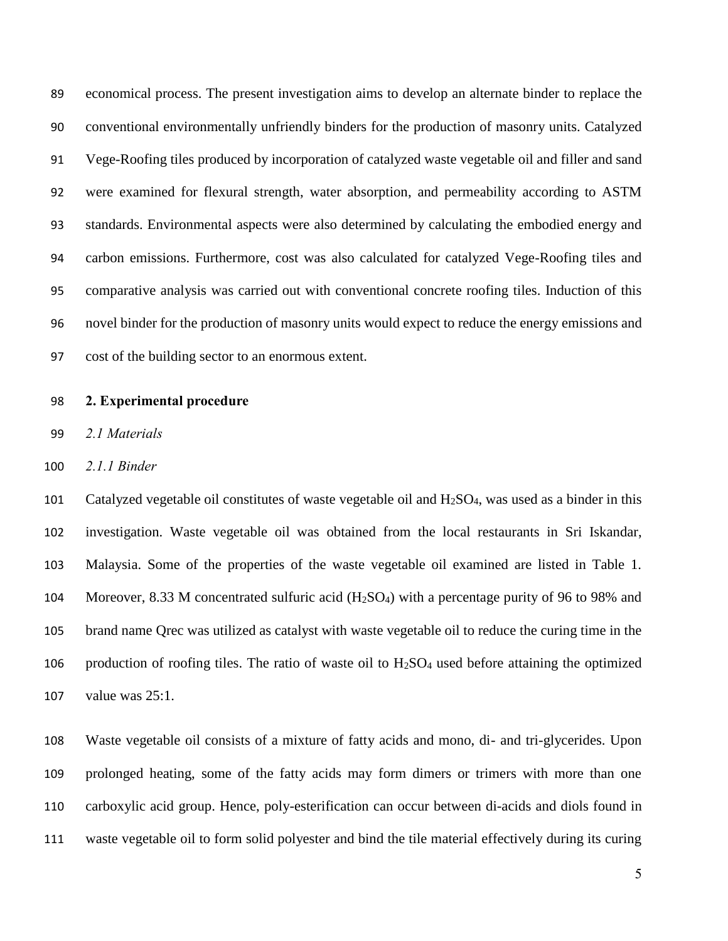economical process. The present investigation aims to develop an alternate binder to replace the conventional environmentally unfriendly binders for the production of masonry units. Catalyzed Vege-Roofing tiles produced by incorporation of catalyzed waste vegetable oil and filler and sand were examined for flexural strength, water absorption, and permeability according to ASTM standards. Environmental aspects were also determined by calculating the embodied energy and carbon emissions. Furthermore, cost was also calculated for catalyzed Vege-Roofing tiles and comparative analysis was carried out with conventional concrete roofing tiles. Induction of this novel binder for the production of masonry units would expect to reduce the energy emissions and cost of the building sector to an enormous extent.

#### **2. Experimental procedure**

*2.1 Materials*

*2.1.1 Binder*

101 Catalyzed vegetable oil constitutes of waste vegetable oil and  $H_2SO_4$ , was used as a binder in this investigation. Waste vegetable oil was obtained from the local restaurants in Sri Iskandar, Malaysia. Some of the properties of the waste vegetable oil examined are listed in Table 1. Moreover, 8.33 M concentrated sulfuric acid (H2SO4) with a percentage purity of 96 to 98% and brand name Qrec was utilized as catalyst with waste vegetable oil to reduce the curing time in the 106 production of roofing tiles. The ratio of waste oil to  $H<sub>2</sub>SO<sub>4</sub>$  used before attaining the optimized value was 25:1.

 Waste vegetable oil consists of a mixture of fatty acids and mono, di- and tri-glycerides. Upon prolonged heating, some of the fatty acids may form dimers or trimers with more than one carboxylic acid group. Hence, poly-esterification can occur between di-acids and diols found in waste vegetable oil to form solid polyester and bind the tile material effectively during its curing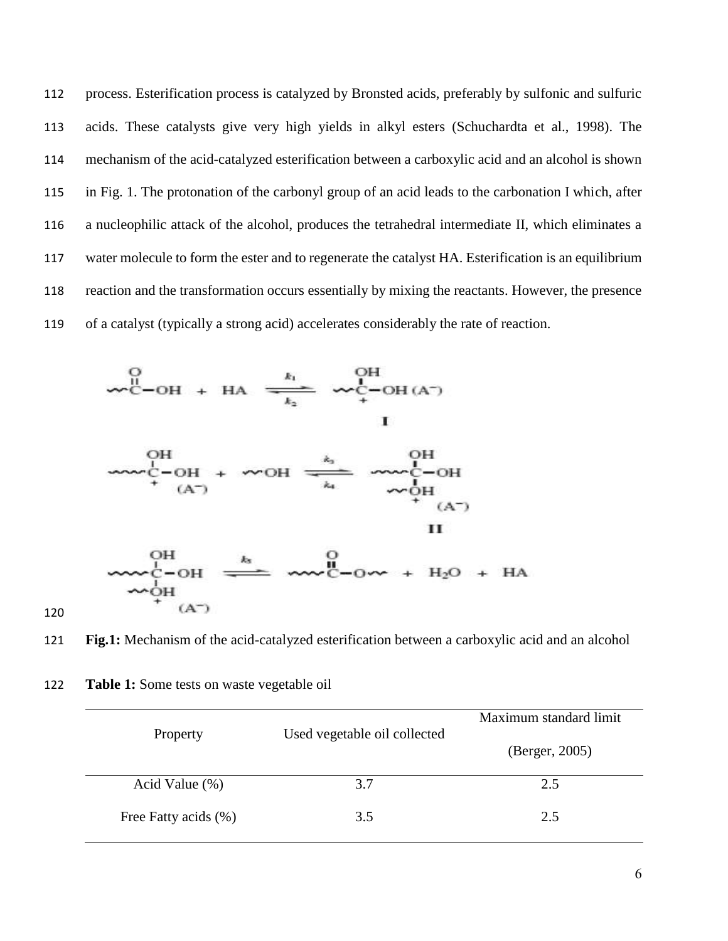process. Esterification process is catalyzed by Bronsted acids, preferably by sulfonic and sulfuric acids. These catalysts give very high yields in alkyl esters (Schuchardta et al., 1998). The mechanism of the acid-catalyzed esterification between a carboxylic acid and an alcohol is shown in Fig. 1. The protonation of the carbonyl group of an acid leads to the carbonation I which, after a nucleophilic attack of the alcohol, produces the tetrahedral intermediate II, which eliminates a water molecule to form the ester and to regenerate the catalyst HA. Esterification is an equilibrium reaction and the transformation occurs essentially by mixing the reactants. However, the presence of a catalyst (typically a strong acid) accelerates considerably the rate of reaction.





**Fig.1:** Mechanism of the acid-catalyzed esterification between a carboxylic acid and an alcohol

| Property             | Used vegetable oil collected | Maximum standard limit |
|----------------------|------------------------------|------------------------|
|                      |                              | (Berger, 2005)         |
| Acid Value $(\%)$    | 3.7                          | 2.5                    |
| Free Fatty acids (%) | 3.5                          | 2.5                    |

**Table 1:** Some tests on waste vegetable oil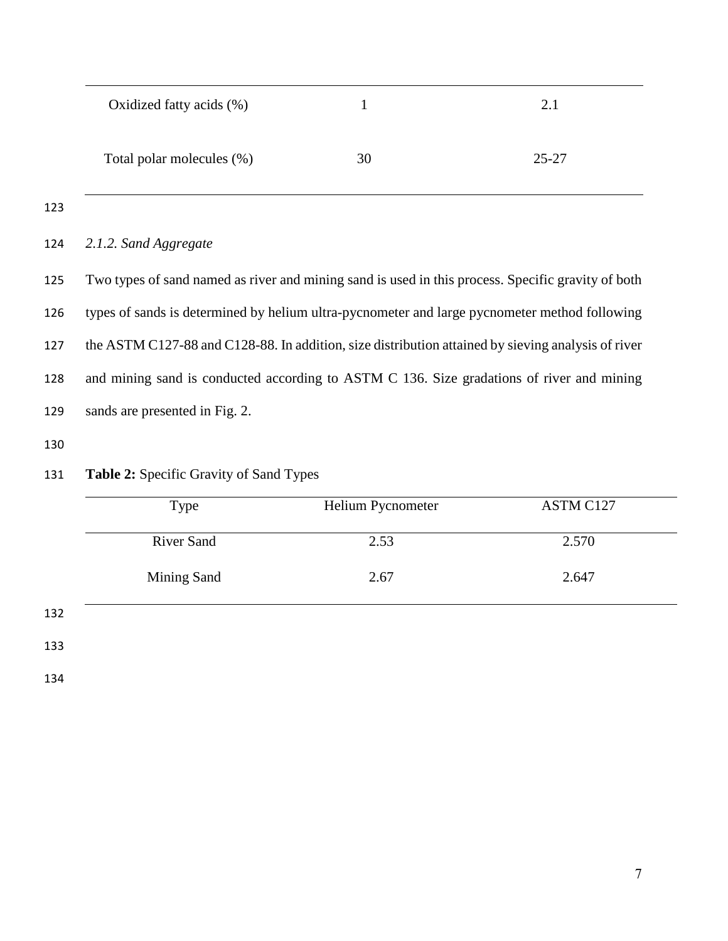| Oxidized fatty acids (%)  |    | 2.1       |
|---------------------------|----|-----------|
| Total polar molecules (%) | 30 | $25 - 27$ |

*2.1.2. Sand Aggregate*

 Two types of sand named as river and mining sand is used in this process. Specific gravity of both types of sands is determined by helium ultra-pycnometer and large pycnometer method following the ASTM C127-88 and C128-88. In addition, size distribution attained by sieving analysis of river and mining sand is conducted according to ASTM C 136. Size gradations of river and mining sands are presented in Fig. 2.

|     | Type               | Helium Pycnometer | ASTM C127 |
|-----|--------------------|-------------------|-----------|
|     | <b>River Sand</b>  | 2.53              | 2.570     |
|     | <b>Mining Sand</b> | 2.67              | 2.647     |
| 132 |                    |                   |           |
| 133 |                    |                   |           |

# **Table 2:** Specific Gravity of Sand Types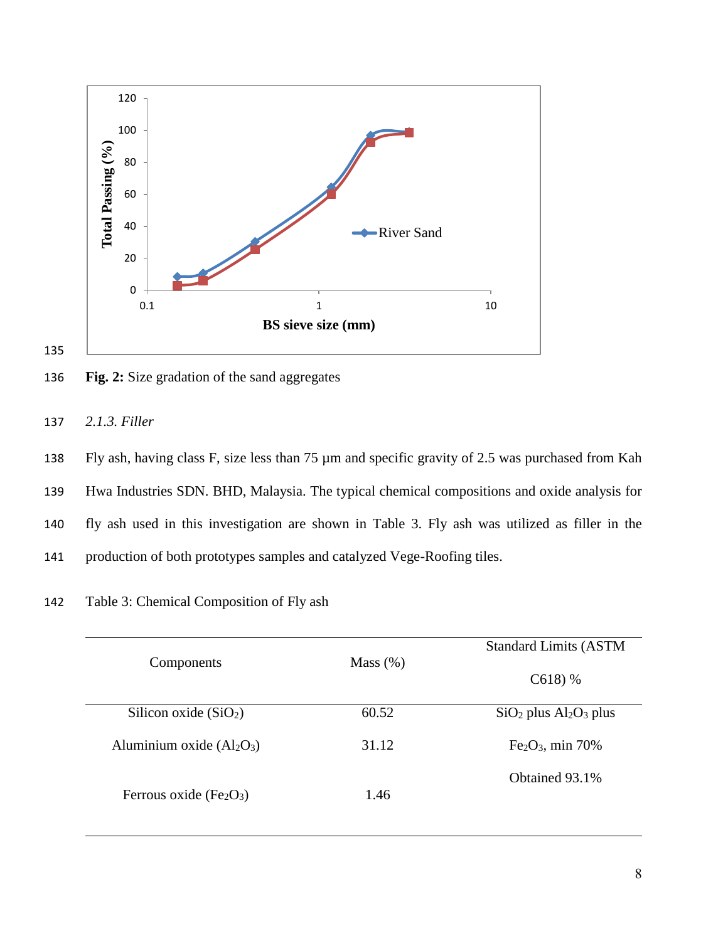

135

136 **Fig. 2:** Size gradation of the sand aggregates



138 Fly ash, having class F, size less than 75 µm and specific gravity of 2.5 was purchased from Kah 139 Hwa Industries SDN. BHD, Malaysia. The typical chemical compositions and oxide analysis for 140 fly ash used in this investigation are shown in Table 3. Fly ash was utilized as filler in the 141 production of both prototypes samples and catalyzed Vege-Roofing tiles.

142 Table 3: Chemical Composition of Fly ash

|                             |             | <b>Standard Limits (ASTM</b> |
|-----------------------------|-------------|------------------------------|
| Components                  | Mass $(\%)$ | $C618$ ) %                   |
| Silicon oxide $(SiO2)$      | 60.52       | $SiO2$ plus $Al2O3$ plus     |
| Aluminium oxide $(Al_2O_3)$ | 31.12       | $Fe2O3$ , min 70%            |
| Ferrous oxide $(Fe2O3)$     | 1.46        | Obtained 93.1%               |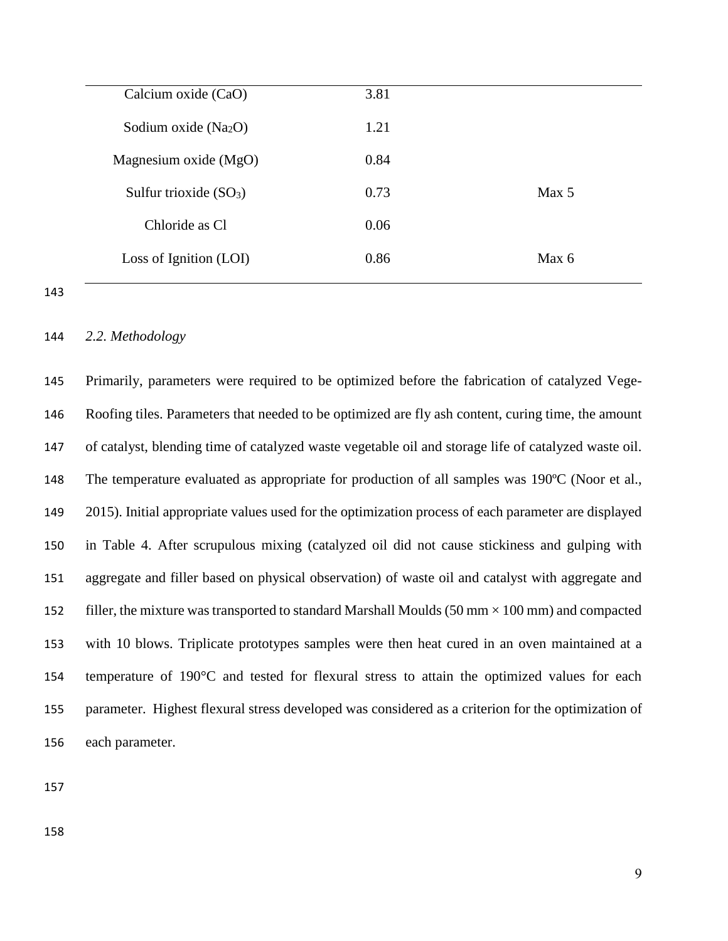| Calcium oxide (CaO)     | 3.81 |       |
|-------------------------|------|-------|
| Sodium oxide $(Na2O)$   | 1.21 |       |
| Magnesium oxide (MgO)   | 0.84 |       |
| Sulfur trioxide $(SO3)$ | 0.73 | Max 5 |
| Chloride as Cl          | 0.06 |       |
| Loss of Ignition (LOI)  | 0.86 | Max 6 |
|                         |      |       |

#### *2.2. Methodology*

 Primarily, parameters were required to be optimized before the fabrication of catalyzed Vege- Roofing tiles. Parameters that needed to be optimized are fly ash content, curing time, the amount of catalyst, blending time of catalyzed waste vegetable oil and storage life of catalyzed waste oil. 148 The temperature evaluated as appropriate for production of all samples was 190°C (Noor et al., 2015). Initial appropriate values used for the optimization process of each parameter are displayed in Table 4. After scrupulous mixing (catalyzed oil did not cause stickiness and gulping with aggregate and filler based on physical observation) of waste oil and catalyst with aggregate and 152 filler, the mixture was transported to standard Marshall Moulds (50 mm  $\times$  100 mm) and compacted with 10 blows. Triplicate prototypes samples were then heat cured in an oven maintained at a temperature of 190°C and tested for flexural stress to attain the optimized values for each parameter. Highest flexural stress developed was considered as a criterion for the optimization of each parameter.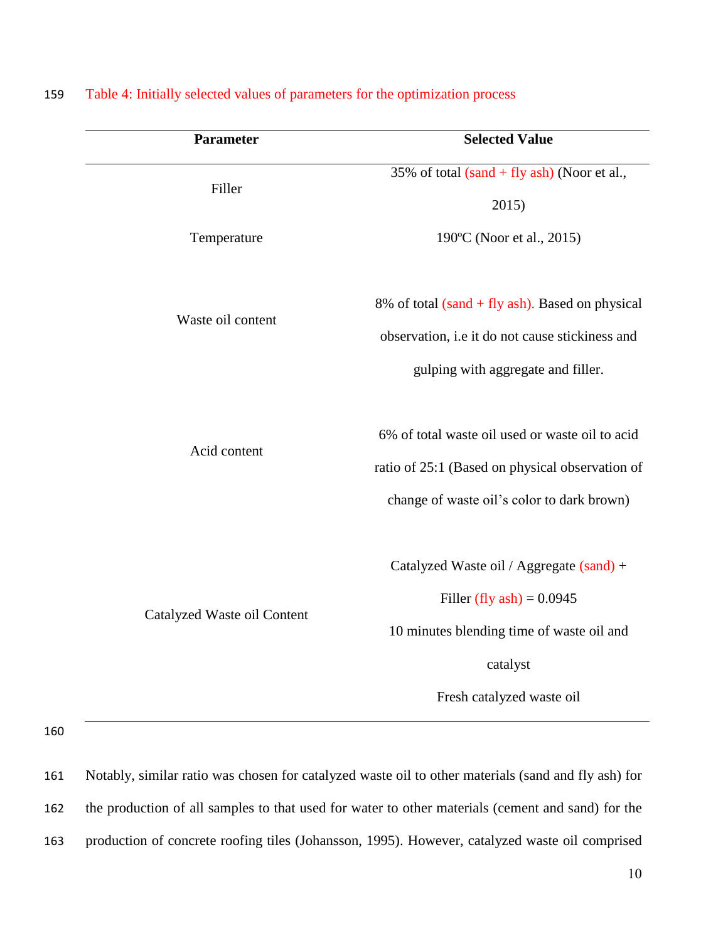| <b>Parameter</b>            | <b>Selected Value</b>                                                                                                                                         |
|-----------------------------|---------------------------------------------------------------------------------------------------------------------------------------------------------------|
| Filler                      | 35% of total $(sand + fly \,ash)$ (Noor et al.,                                                                                                               |
|                             | 2015)                                                                                                                                                         |
| Temperature                 | 190°C (Noor et al., 2015)                                                                                                                                     |
| Waste oil content           | 8% of total (sand + fly ash). Based on physical                                                                                                               |
|                             | observation, i.e it do not cause stickiness and                                                                                                               |
|                             | gulping with aggregate and filler.                                                                                                                            |
| Acid content                | 6% of total waste oil used or waste oil to acid<br>ratio of 25:1 (Based on physical observation of<br>change of waste oil's color to dark brown)              |
| Catalyzed Waste oil Content | Catalyzed Waste oil / Aggregate (sand) +<br>Filler (fly ash) = $0.0945$<br>10 minutes blending time of waste oil and<br>catalyst<br>Fresh catalyzed waste oil |

# 159 Table 4: Initially selected values of parameters for the optimization process

160

161 Notably, similar ratio was chosen for catalyzed waste oil to other materials (sand and fly ash) for 162 the production of all samples to that used for water to other materials (cement and sand) for the 163 production of concrete roofing tiles (Johansson, 1995). However, catalyzed waste oil comprised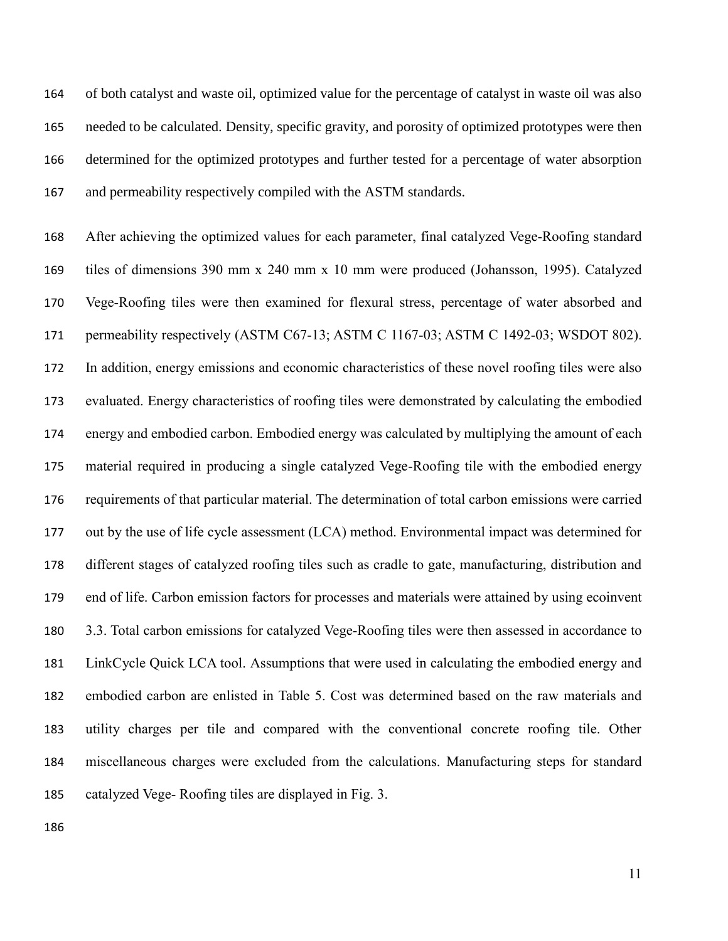of both catalyst and waste oil, optimized value for the percentage of catalyst in waste oil was also needed to be calculated. Density, specific gravity, and porosity of optimized prototypes were then determined for the optimized prototypes and further tested for a percentage of water absorption and permeability respectively compiled with the ASTM standards.

 After achieving the optimized values for each parameter, final catalyzed Vege-Roofing standard tiles of dimensions 390 mm x 240 mm x 10 mm were produced (Johansson, 1995). Catalyzed Vege-Roofing tiles were then examined for flexural stress, percentage of water absorbed and 171 permeability respectively (ASTM C67-13; ASTM C 1167-03; ASTM C 1492-03; WSDOT 802). In addition, energy emissions and economic characteristics of these novel roofing tiles were also evaluated. Energy characteristics of roofing tiles were demonstrated by calculating the embodied energy and embodied carbon. Embodied energy was calculated by multiplying the amount of each material required in producing a single catalyzed Vege-Roofing tile with the embodied energy requirements of that particular material. The determination of total carbon emissions were carried out by the use of life cycle assessment (LCA) method. Environmental impact was determined for different stages of catalyzed roofing tiles such as cradle to gate, manufacturing, distribution and end of life. Carbon emission factors for processes and materials were attained by using ecoinvent 3.3. Total carbon emissions for catalyzed Vege-Roofing tiles were then assessed in accordance to LinkCycle Quick LCA tool. Assumptions that were used in calculating the embodied energy and embodied carbon are enlisted in Table 5. Cost was determined based on the raw materials and utility charges per tile and compared with the conventional concrete roofing tile. Other miscellaneous charges were excluded from the calculations. Manufacturing steps for standard catalyzed Vege- Roofing tiles are displayed in Fig. 3.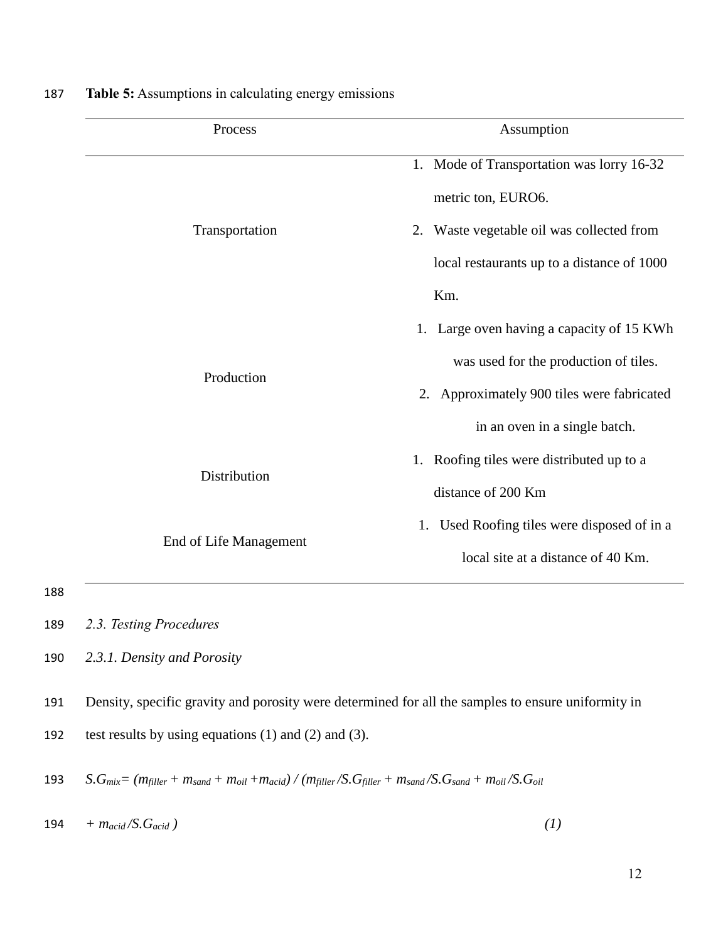| Process                | Assumption                                                      |
|------------------------|-----------------------------------------------------------------|
|                        | 1. Mode of Transportation was lorry 16-32<br>metric ton, EURO6. |
| Transportation         | 2. Waste vegetable oil was collected from                       |
|                        | local restaurants up to a distance of 1000                      |
|                        | Km.                                                             |
|                        | 1. Large oven having a capacity of 15 KWh                       |
| Production             | was used for the production of tiles.                           |
|                        | 2. Approximately 900 tiles were fabricated                      |
|                        | in an oven in a single batch.                                   |
| Distribution           | 1. Roofing tiles were distributed up to a                       |
|                        | distance of 200 Km                                              |
|                        | Used Roofing tiles were disposed of in a<br>1.                  |
| End of Life Management | local site at a distance of 40 Km.                              |

187 **Table 5:** Assumptions in calculating energy emissions

191 Density, specific gravity and porosity were determined for all the samples to ensure uniformity in

192 test results by using equations (1) and (2) and (3).

193  $S.G_{mix} = (m_{filter} + m_{sand} + m_{oil} + m_{acid}) / (m_{filter}/S.G_{filler} + m_{sand}/S.G_{sand} + m_{oil}/S.G_{oil}$ 

 $194 + m_{acid}/S.G_{acid}$  (1)  $(1)$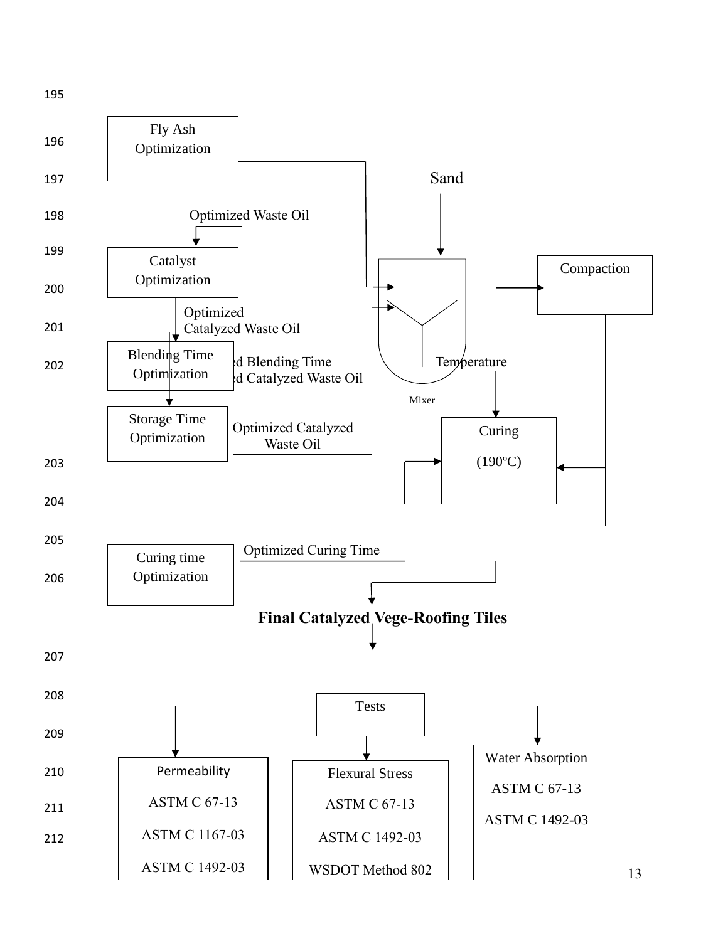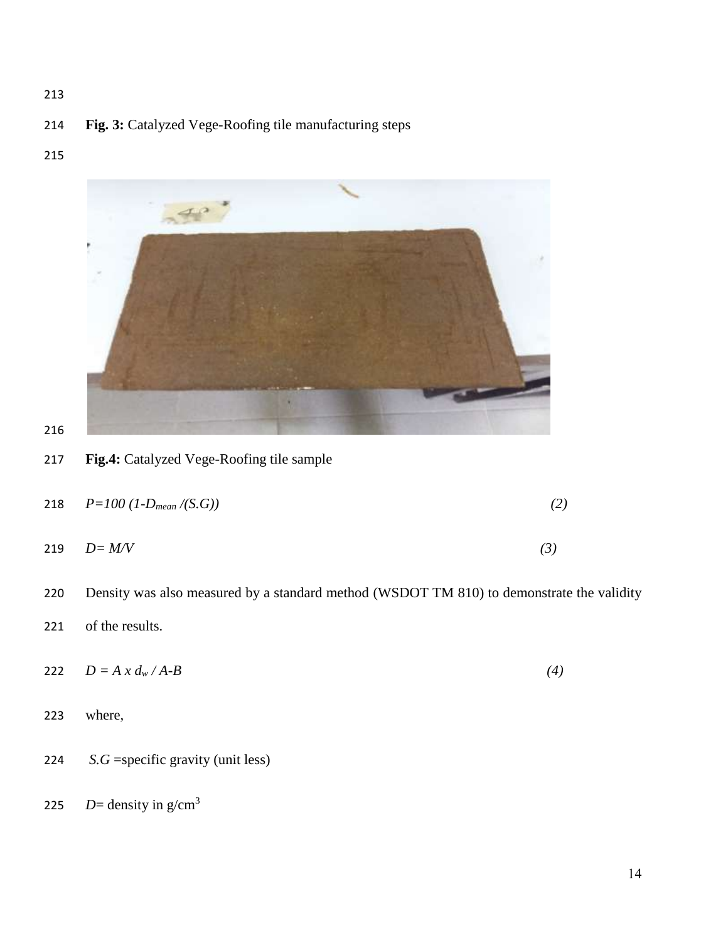# **Fig. 3:** Catalyzed Vege-Roofing tile manufacturing steps

# 



**Fig.4:** Catalyzed Vege-Roofing tile sample

| 218 $P=100$ (1- $D_{mean}/(S.G)$ ) |  |
|------------------------------------|--|
|                                    |  |

- *D= M/V (3)*
- Density was also measured by a standard method (WSDOT TM 810) to demonstrate the validity
- of the results.
- 222  $D = A x d_w / A B$  (4)
- where*,*
- *S.G* =specific gravity (unit less)
- *D*= density in  $g/cm<sup>3</sup>$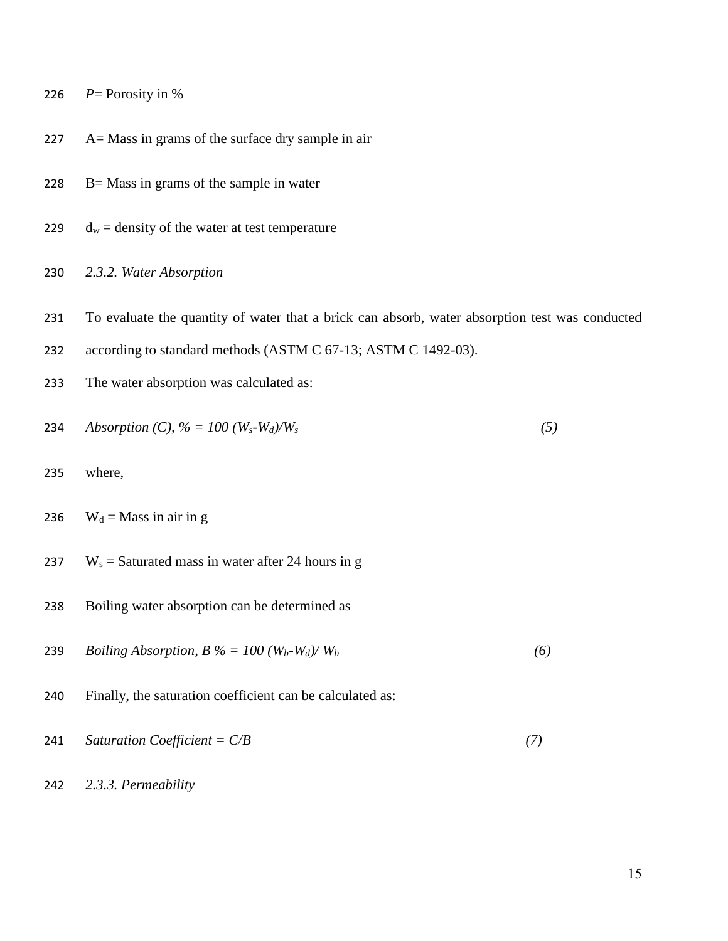226  $P=$  Porosity in %

- A= Mass in grams of the surface dry sample in air
- 228  $B=$  Mass in grams of the sample in water
- 229  $d_w =$  density of the water at test temperature
- *2.3.2. Water Absorption*
- To evaluate the quantity of water that a brick can absorb, water absorption test was conducted
- according to standard methods (ASTM C 67-13; ASTM C 1492-03).
- The water absorption was calculated as:

234 Absorption (C), 
$$
\% = 100
$$
 (W<sub>s</sub>-W<sub>d</sub>)/W<sub>s</sub> (5)

- where,
- 236  $W_d =$ Mass in air in g
- 237 W<sub>s</sub> = Saturated mass in water after 24 hours in g
- Boiling water absorption can be determined as
- 239 *Boiling Absorption, B*  $\% = 100 \frac{W_b W_d}{W_b}$  (6)
- Finally, the saturation coefficient can be calculated as:
- *Saturation Coefficient = C/B (7)*
- *2.3.3. Permeability*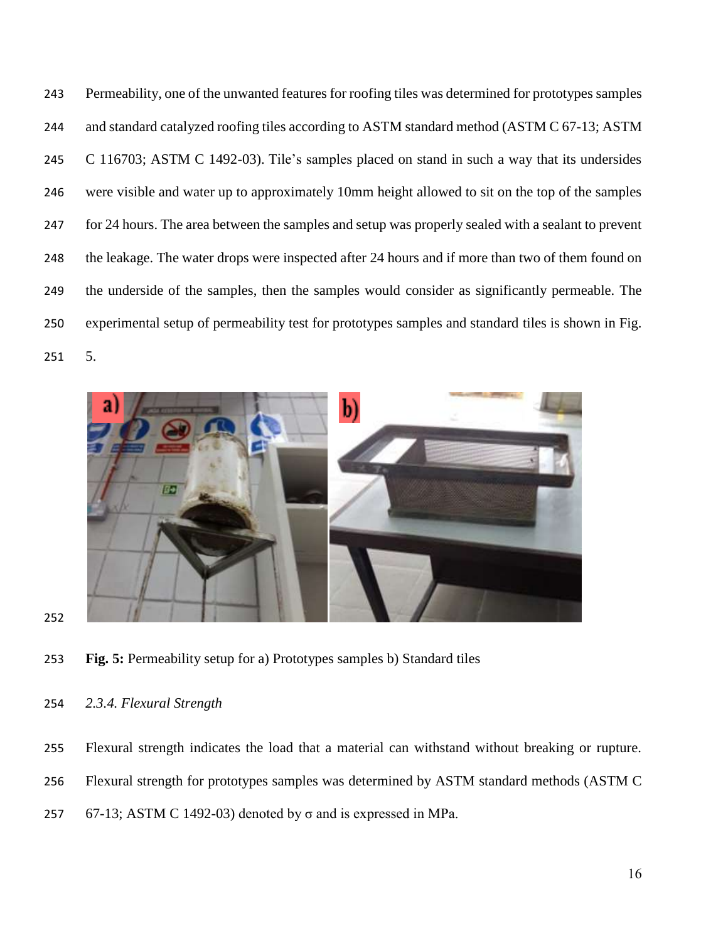Permeability, one of the unwanted features for roofing tiles was determined for prototypes samples 244 and standard catalyzed roofing tiles according to ASTM standard method (ASTM C 67-13; ASTM C 116703; ASTM C 1492-03). Tile's samples placed on stand in such a way that its undersides were visible and water up to approximately 10mm height allowed to sit on the top of the samples for 24 hours. The area between the samples and setup was properly sealed with a sealant to prevent 248 the leakage. The water drops were inspected after 24 hours and if more than two of them found on the underside of the samples, then the samples would consider as significantly permeable. The experimental setup of permeability test for prototypes samples and standard tiles is shown in Fig. 5.



**Fig. 5:** Permeability setup for a) Prototypes samples b) Standard tiles

# *2.3.4. Flexural Strength*

- Flexural strength indicates the load that a material can withstand without breaking or rupture.
- Flexural strength for prototypes samples was determined by ASTM standard methods (ASTM C
- 257 67-13; ASTM C 1492-03) denoted by  $\sigma$  and is expressed in MPa.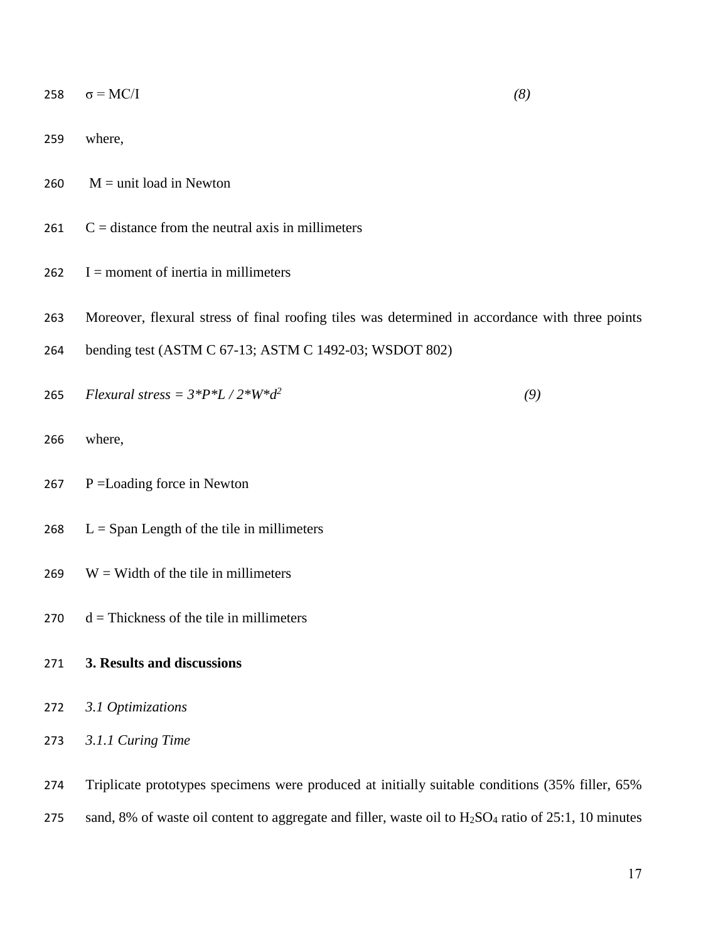- 259 where,
- 260  $M =$ unit load in Newton
- $261$  C = distance from the neutral axis in millimeters
- 262  $I =$  moment of inertia in millimeters
- 263 Moreover, flexural stress of final roofing tiles was determined in accordance with three points
- 264 bending test (ASTM C 67-13; ASTM C 1492-03; WSDOT 802)
- **265**  $Flexural stress = 3*P*L / 2*W*d^2$  (9)
- 266 where,
- 267 P = Loading force in Newton
- 268  $L =$  Span Length of the tile in millimeters
- $269 \text{ W} = \text{Width of the tile in millimeters}$
- 270  $d = Thickness of the tile in millimeters$
- 271 **3. Results and discussions**
- 272 *3.1 Optimizations*
- 273 *3.1.1 Curing Time*
- 274 Triplicate prototypes specimens were produced at initially suitable conditions (35% filler, 65% 275 sand, 8% of waste oil content to aggregate and filler, waste oil to  $H_2SO_4$  ratio of 25:1, 10 minutes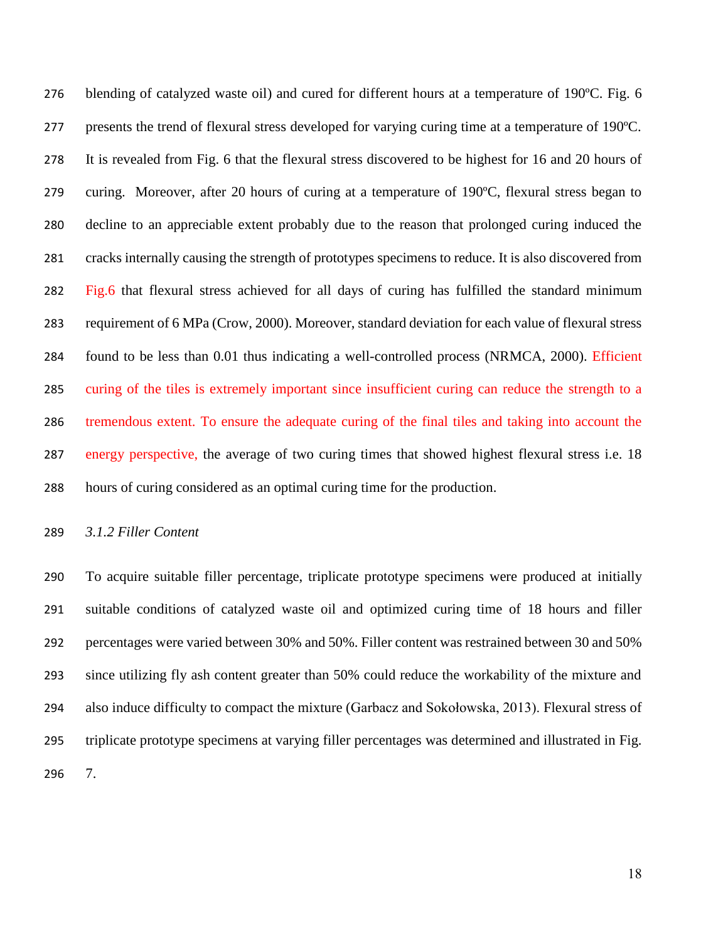276 blending of catalyzed waste oil) and cured for different hours at a temperature of 190 °C. Fig. 6 presents the trend of flexural stress developed for varying curing time at a temperature of 190ºC. It is revealed from Fig. 6 that the flexural stress discovered to be highest for 16 and 20 hours of curing. Moreover, after 20 hours of curing at a temperature of 190ºC, flexural stress began to decline to an appreciable extent probably due to the reason that prolonged curing induced the cracks internally causing the strength of prototypes specimens to reduce. It is also discovered from 282 Fig.6 that flexural stress achieved for all days of curing has fulfilled the standard minimum requirement of 6 MPa (Crow, 2000). Moreover, standard deviation for each value of flexural stress found to be less than 0.01 thus indicating a well-controlled process (NRMCA, 2000). Efficient curing of the tiles is extremely important since insufficient curing can reduce the strength to a tremendous extent. To ensure the adequate curing of the final tiles and taking into account the energy perspective, the average of two curing times that showed highest flexural stress i.e. 18 hours of curing considered as an optimal curing time for the production.

*3.1.2 Filler Content*

 To acquire suitable filler percentage, triplicate prototype specimens were produced at initially suitable conditions of catalyzed waste oil and optimized curing time of 18 hours and filler percentages were varied between 30% and 50%. Filler content was restrained between 30 and 50% since utilizing fly ash content greater than 50% could reduce the workability of the mixture and also induce difficulty to compact the mixture (Garbacz and Sokołowska, 2013). Flexural stress of triplicate prototype specimens at varying filler percentages was determined and illustrated in Fig. 7.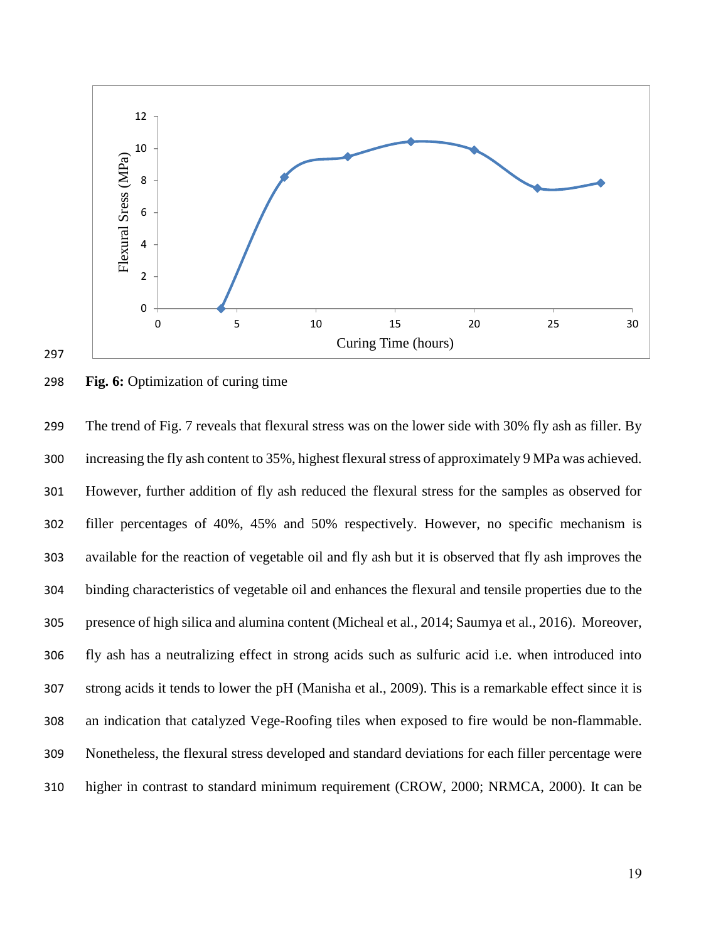

# **Fig. 6:** Optimization of curing time

 The trend of Fig. 7 reveals that flexural stress was on the lower side with 30% fly ash as filler. By increasing the fly ash content to 35%, highest flexural stress of approximately 9 MPa was achieved. However, further addition of fly ash reduced the flexural stress for the samples as observed for filler percentages of 40%, 45% and 50% respectively. However, no specific mechanism is available for the reaction of vegetable oil and fly ash but it is observed that fly ash improves the binding characteristics of vegetable oil and enhances the flexural and tensile properties due to the presence of high silica and alumina content (Micheal et al., 2014; Saumya et al., 2016). Moreover, fly ash has a neutralizing effect in strong acids such as sulfuric acid i.e. when introduced into strong acids it tends to lower the pH (Manisha et al., 2009). This is a remarkable effect since it is an indication that catalyzed Vege-Roofing tiles when exposed to fire would be non-flammable. Nonetheless, the flexural stress developed and standard deviations for each filler percentage were higher in contrast to standard minimum requirement (CROW, 2000; NRMCA, 2000). It can be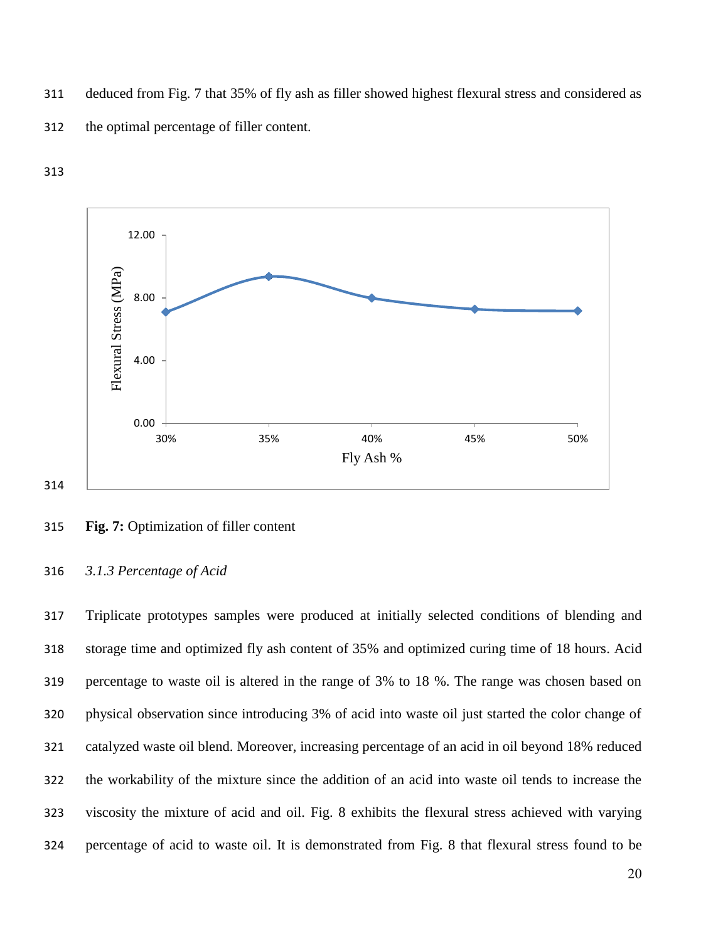deduced from Fig. 7 that 35% of fly ash as filler showed highest flexural stress and considered as





#### **Fig. 7:** Optimization of filler content

# *3.1.3 Percentage of Acid*

 Triplicate prototypes samples were produced at initially selected conditions of blending and storage time and optimized fly ash content of 35% and optimized curing time of 18 hours. Acid percentage to waste oil is altered in the range of 3% to 18 %. The range was chosen based on physical observation since introducing 3% of acid into waste oil just started the color change of catalyzed waste oil blend. Moreover, increasing percentage of an acid in oil beyond 18% reduced the workability of the mixture since the addition of an acid into waste oil tends to increase the viscosity the mixture of acid and oil. Fig. 8 exhibits the flexural stress achieved with varying percentage of acid to waste oil. It is demonstrated from Fig. 8 that flexural stress found to be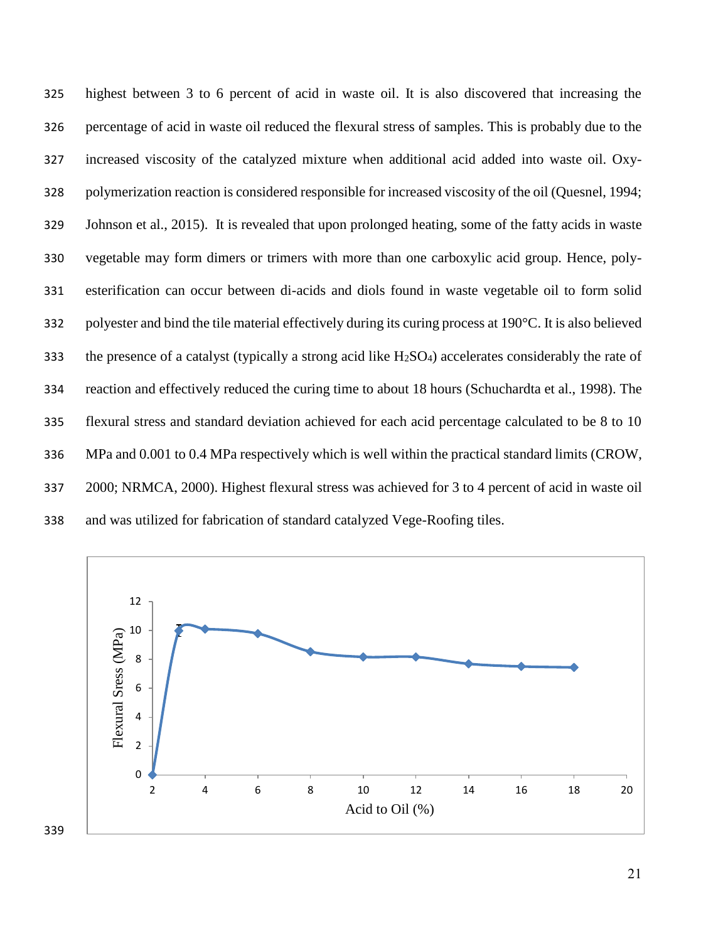highest between 3 to 6 percent of acid in waste oil. It is also discovered that increasing the percentage of acid in waste oil reduced the flexural stress of samples. This is probably due to the increased viscosity of the catalyzed mixture when additional acid added into waste oil. Oxy- polymerization reaction is considered responsible for increased viscosity of the oil (Quesnel, 1994; Johnson et al., 2015). It is revealed that upon prolonged heating, some of the fatty acids in waste vegetable may form dimers or trimers with more than one carboxylic acid group. Hence, poly- esterification can occur between di-acids and diols found in waste vegetable oil to form solid polyester and bind the tile material effectively during its curing process at 190°C. It is also believed 333 the presence of a catalyst (typically a strong acid like  $H_2SO_4$ ) accelerates considerably the rate of reaction and effectively reduced the curing time to about 18 hours (Schuchardta et al., 1998). The flexural stress and standard deviation achieved for each acid percentage calculated to be 8 to 10 MPa and 0.001 to 0.4 MPa respectively which is well within the practical standard limits (CROW, 2000; NRMCA, 2000). Highest flexural stress was achieved for 3 to 4 percent of acid in waste oil and was utilized for fabrication of standard catalyzed Vege-Roofing tiles.

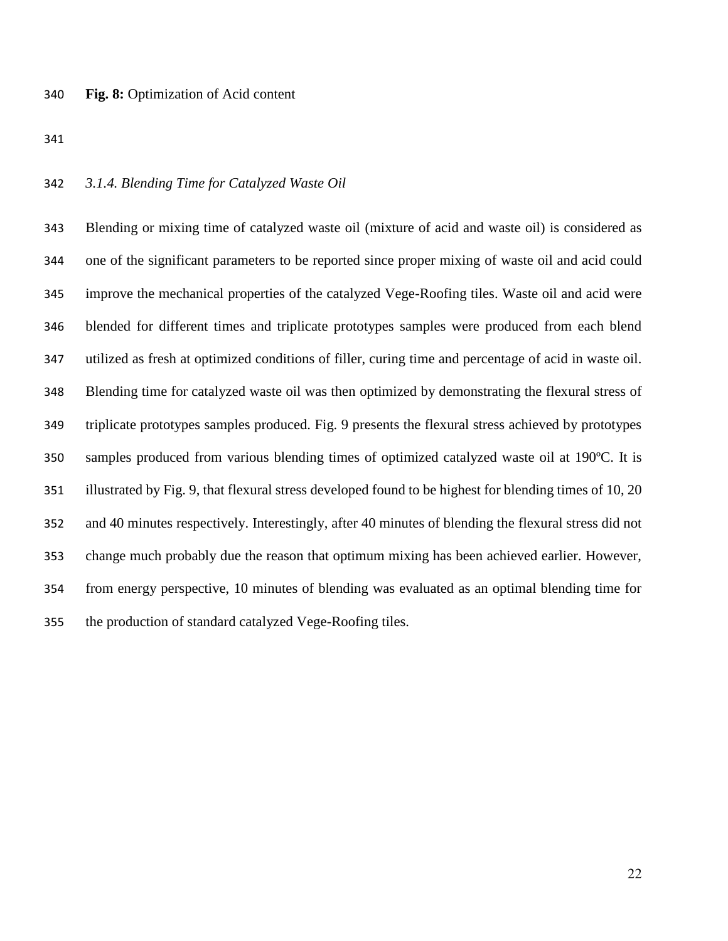# *3.1.4. Blending Time for Catalyzed Waste Oil*

 Blending or mixing time of catalyzed waste oil (mixture of acid and waste oil) is considered as one of the significant parameters to be reported since proper mixing of waste oil and acid could improve the mechanical properties of the catalyzed Vege-Roofing tiles. Waste oil and acid were blended for different times and triplicate prototypes samples were produced from each blend utilized as fresh at optimized conditions of filler, curing time and percentage of acid in waste oil. Blending time for catalyzed waste oil was then optimized by demonstrating the flexural stress of triplicate prototypes samples produced. Fig. 9 presents the flexural stress achieved by prototypes samples produced from various blending times of optimized catalyzed waste oil at 190ºC. It is illustrated by Fig. 9, that flexural stress developed found to be highest for blending times of 10, 20 and 40 minutes respectively. Interestingly, after 40 minutes of blending the flexural stress did not change much probably due the reason that optimum mixing has been achieved earlier. However, from energy perspective, 10 minutes of blending was evaluated as an optimal blending time for the production of standard catalyzed Vege-Roofing tiles.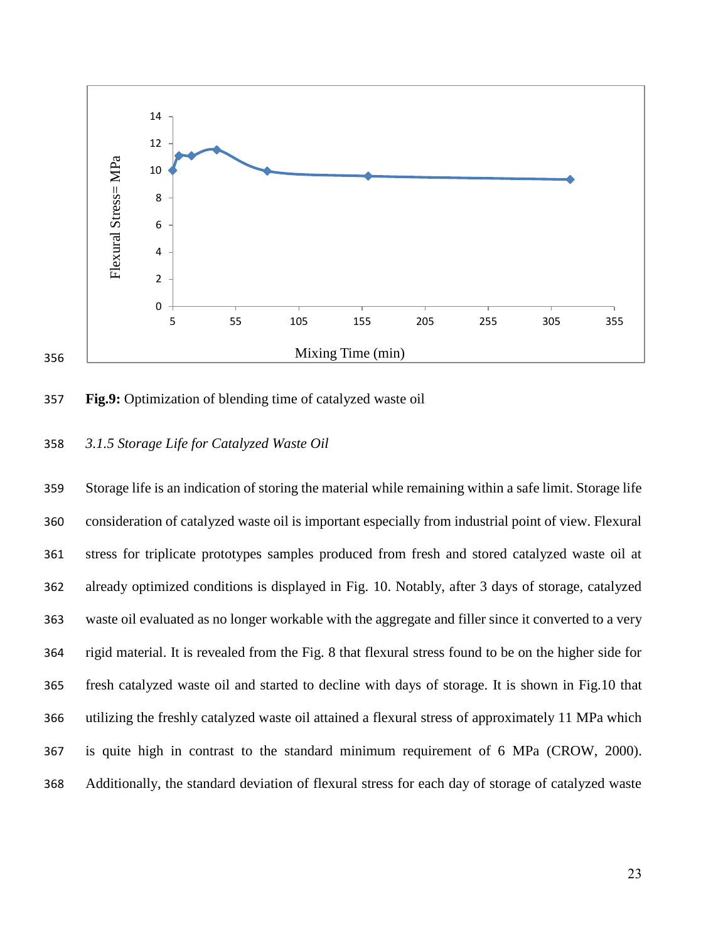



# *3.1.5 Storage Life for Catalyzed Waste Oil*

 Storage life is an indication of storing the material while remaining within a safe limit. Storage life consideration of catalyzed waste oil is important especially from industrial point of view. Flexural stress for triplicate prototypes samples produced from fresh and stored catalyzed waste oil at already optimized conditions is displayed in Fig. 10. Notably, after 3 days of storage, catalyzed waste oil evaluated as no longer workable with the aggregate and filler since it converted to a very rigid material. It is revealed from the Fig. 8 that flexural stress found to be on the higher side for fresh catalyzed waste oil and started to decline with days of storage. It is shown in Fig.10 that utilizing the freshly catalyzed waste oil attained a flexural stress of approximately 11 MPa which is quite high in contrast to the standard minimum requirement of 6 MPa (CROW, 2000). Additionally, the standard deviation of flexural stress for each day of storage of catalyzed waste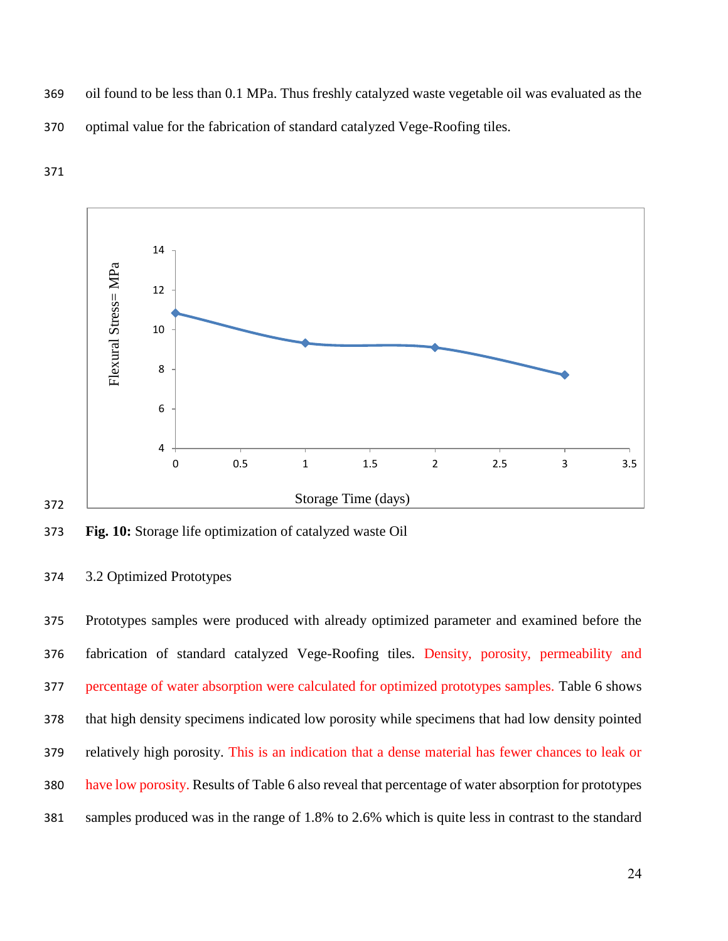- oil found to be less than 0.1 MPa. Thus freshly catalyzed waste vegetable oil was evaluated as the
- optimal value for the fabrication of standard catalyzed Vege-Roofing tiles.





**Fig. 10:** Storage life optimization of catalyzed waste Oil

# 3.2 Optimized Prototypes

 Prototypes samples were produced with already optimized parameter and examined before the fabrication of standard catalyzed Vege-Roofing tiles. Density, porosity, permeability and percentage of water absorption were calculated for optimized prototypes samples. Table 6 shows that high density specimens indicated low porosity while specimens that had low density pointed relatively high porosity. This is an indication that a dense material has fewer chances to leak or have low porosity. Results of Table 6 also reveal that percentage of water absorption for prototypes samples produced was in the range of 1.8% to 2.6% which is quite less in contrast to the standard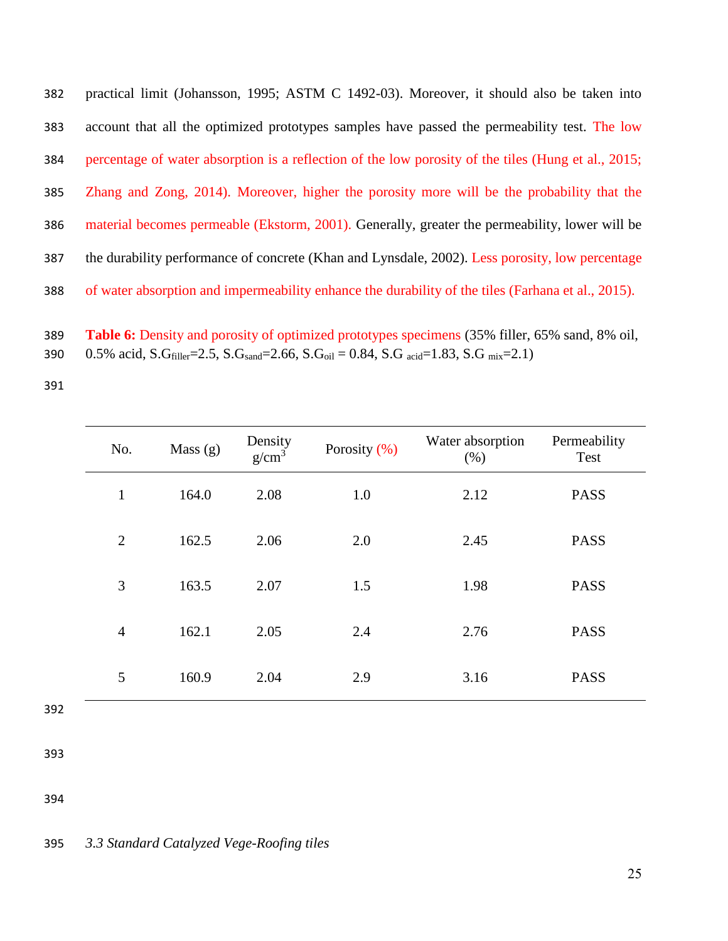practical limit (Johansson, 1995; ASTM C 1492-03). Moreover, it should also be taken into account that all the optimized prototypes samples have passed the permeability test. The low percentage of water absorption is a reflection of the low porosity of the tiles (Hung et al., 2015; Zhang and Zong, 2014). Moreover, higher the porosity more will be the probability that the material becomes permeable (Ekstorm, 2001). Generally, greater the permeability, lower will be the durability performance of concrete (Khan and Lynsdale, 2002). Less porosity, low percentage of water absorption and impermeability enhance the durability of the tiles (Farhana et al., 2015).

 **Table 6:** Density and porosity of optimized prototypes specimens (35% filler, 65% sand, 8% oil, 390 0.5% acid, S.G<sub>filler</sub>=2.5, S.G<sub>sand</sub>=2.66, S.G<sub>oil</sub> = 0.84, S.G <sub>acid</sub>=1.83, S.G  $_{mix}$ =2.1)

| No.            | Mass $(g)$ | Density<br>g/cm <sup>3</sup> | Porosity $(\% )$ | Water absorption<br>(% ) | Permeability<br>Test |
|----------------|------------|------------------------------|------------------|--------------------------|----------------------|
| $\mathbf{1}$   | 164.0      | 2.08                         | 1.0              | 2.12                     | <b>PASS</b>          |
| $\overline{2}$ | 162.5      | 2.06                         | 2.0              | 2.45                     | <b>PASS</b>          |
| 3              | 163.5      | 2.07                         | 1.5              | 1.98                     | <b>PASS</b>          |
| $\overline{4}$ | 162.1      | 2.05                         | 2.4              | 2.76                     | <b>PASS</b>          |
| 5              | 160.9      | 2.04                         | 2.9              | 3.16                     | <b>PASS</b>          |

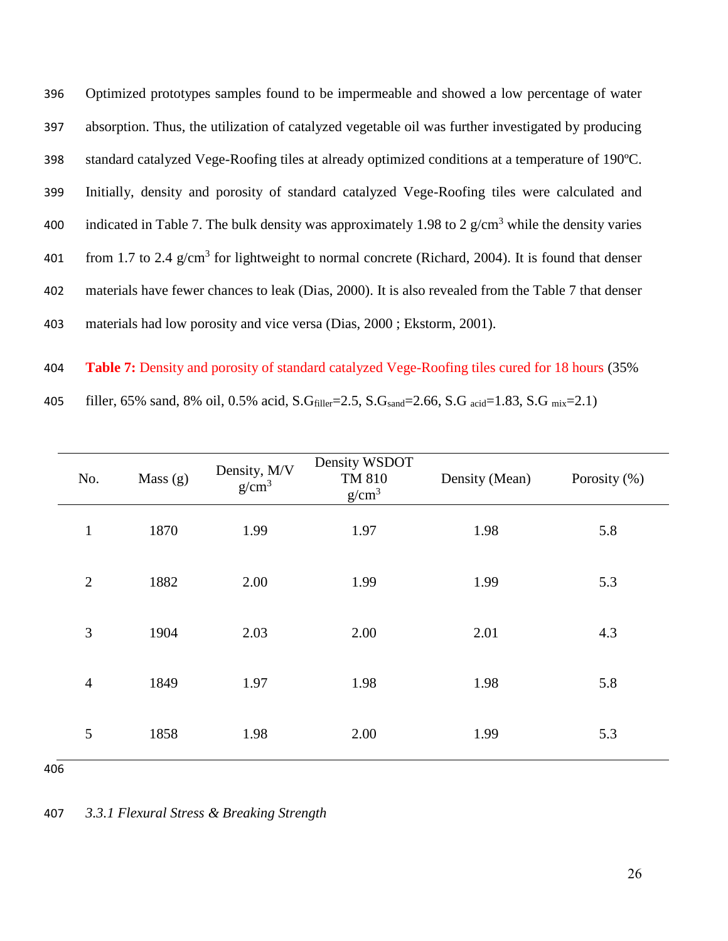Optimized prototypes samples found to be impermeable and showed a low percentage of water absorption. Thus, the utilization of catalyzed vegetable oil was further investigated by producing standard catalyzed Vege-Roofing tiles at already optimized conditions at a temperature of 190ºC. Initially, density and porosity of standard catalyzed Vege-Roofing tiles were calculated and 400 indicated in Table 7. The bulk density was approximately 1.98 to 2  $g/cm<sup>3</sup>$  while the density varies 401 from 1.7 to 2.4  $g/cm<sup>3</sup>$  for lightweight to normal concrete (Richard, 2004). It is found that denser materials have fewer chances to leak (Dias, 2000). It is also revealed from the Table 7 that denser materials had low porosity and vice versa (Dias, 2000 ; Ekstorm, 2001).

 **Table 7:** Density and porosity of standard catalyzed Vege-Roofing tiles cured for 18 hours (35% 405 filler, 65% sand, 8% oil, 0.5% acid,  $S.G<sub>filler</sub>=2.5$ ,  $S.G<sub>sand</sub>=2.66$ ,  $S.G<sub>acid</sub>=1.83$ ,  $S.G<sub>mix</sub>=2.1$ )

| No.            | Mass $(g)$ | Density, M/V<br>g/cm <sup>3</sup> | Density WSDOT<br>TM 810<br>g/cm <sup>3</sup> | Density (Mean) | Porosity (%) |
|----------------|------------|-----------------------------------|----------------------------------------------|----------------|--------------|
| $\mathbf{1}$   | 1870       | 1.99                              | 1.97                                         | 1.98           | 5.8          |
| $\overline{2}$ | 1882       | 2.00                              | 1.99                                         | 1.99           | 5.3          |
| 3              | 1904       | 2.03                              | 2.00                                         | 2.01           | 4.3          |
| $\overline{4}$ | 1849       | 1.97                              | 1.98                                         | 1.98           | 5.8          |
| 5              | 1858       | 1.98                              | 2.00                                         | 1.99           | 5.3          |
| 406            |            |                                   |                                              |                |              |

*3.3.1 Flexural Stress & Breaking Strength*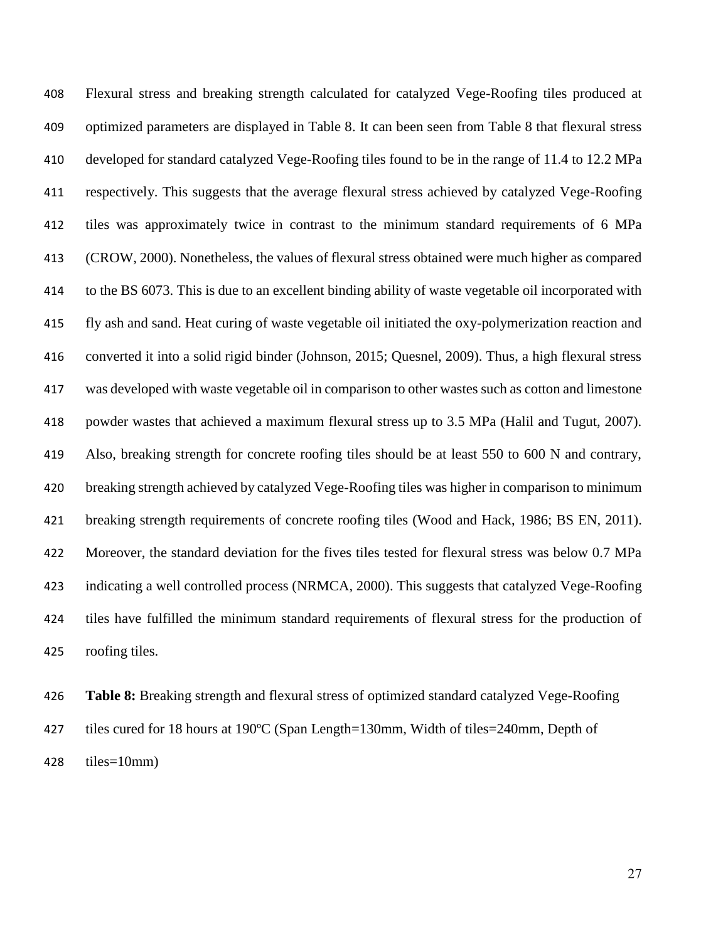Flexural stress and breaking strength calculated for catalyzed Vege-Roofing tiles produced at optimized parameters are displayed in Table 8. It can been seen from Table 8 that flexural stress developed for standard catalyzed Vege-Roofing tiles found to be in the range of 11.4 to 12.2 MPa respectively. This suggests that the average flexural stress achieved by catalyzed Vege-Roofing tiles was approximately twice in contrast to the minimum standard requirements of 6 MPa (CROW, 2000). Nonetheless, the values of flexural stress obtained were much higher as compared to the BS 6073. This is due to an excellent binding ability of waste vegetable oil incorporated with fly ash and sand. Heat curing of waste vegetable oil initiated the oxy-polymerization reaction and converted it into a solid rigid binder (Johnson, 2015; Quesnel, 2009). Thus, a high flexural stress was developed with waste vegetable oil in comparison to other wastes such as cotton and limestone powder wastes that achieved a maximum flexural stress up to 3.5 MPa (Halil and Tugut, 2007). Also, breaking strength for concrete roofing tiles should be at least 550 to 600 N and contrary, breaking strength achieved by catalyzed Vege-Roofing tiles was higher in comparison to minimum breaking strength requirements of concrete roofing tiles (Wood and Hack, 1986; BS EN, 2011). Moreover, the standard deviation for the fives tiles tested for flexural stress was below 0.7 MPa indicating a well controlled process (NRMCA, 2000). This suggests that catalyzed Vege-Roofing tiles have fulfilled the minimum standard requirements of flexural stress for the production of roofing tiles.

 **Table 8:** Breaking strength and flexural stress of optimized standard catalyzed Vege-Roofing tiles cured for 18 hours at 190ºC (Span Length=130mm, Width of tiles=240mm, Depth of tiles=10mm)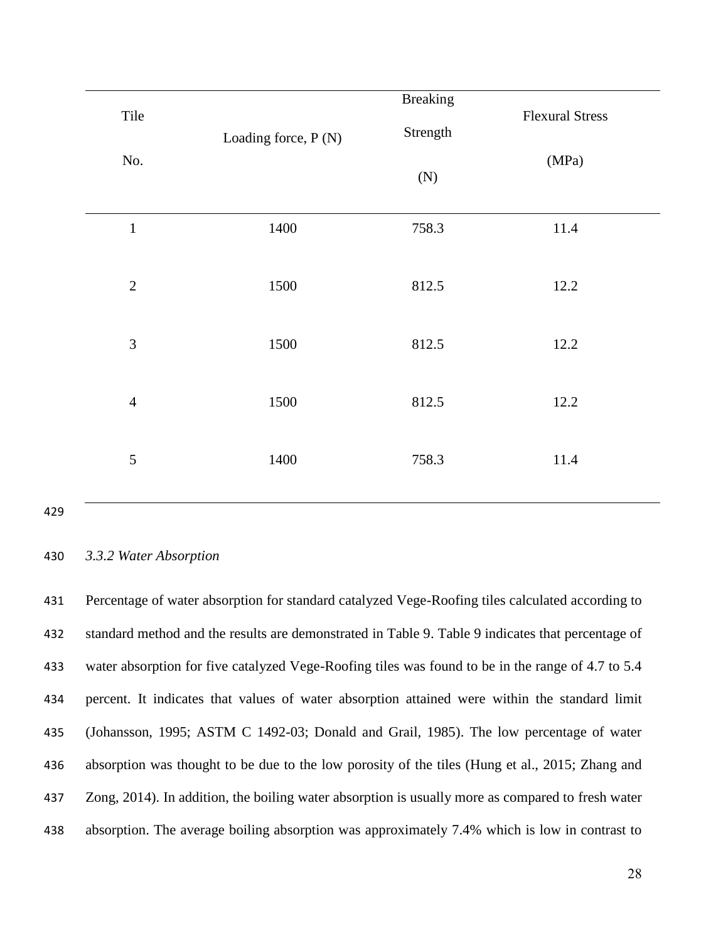| Tile           | Loading force, P (N) | <b>Breaking</b><br>Strength | <b>Flexural Stress</b> |
|----------------|----------------------|-----------------------------|------------------------|
| No.            |                      | (N)                         | (MPa)                  |
| $\mathbf 1$    | 1400                 | 758.3                       | 11.4                   |
| $\sqrt{2}$     | 1500                 | 812.5                       | 12.2                   |
| $\mathfrak{Z}$ | 1500                 | 812.5                       | 12.2                   |
| $\overline{4}$ | 1500                 | 812.5                       | 12.2                   |
| 5              | 1400                 | 758.3                       | 11.4                   |

# *3.3.2 Water Absorption*

 Percentage of water absorption for standard catalyzed Vege-Roofing tiles calculated according to standard method and the results are demonstrated in Table 9. Table 9 indicates that percentage of water absorption for five catalyzed Vege-Roofing tiles was found to be in the range of 4.7 to 5.4 percent. It indicates that values of water absorption attained were within the standard limit (Johansson, 1995; ASTM C 1492-03; Donald and Grail, 1985). The low percentage of water absorption was thought to be due to the low porosity of the tiles (Hung et al., 2015; Zhang and Zong, 2014). In addition, the boiling water absorption is usually more as compared to fresh water absorption. The average boiling absorption was approximately 7.4% which is low in contrast to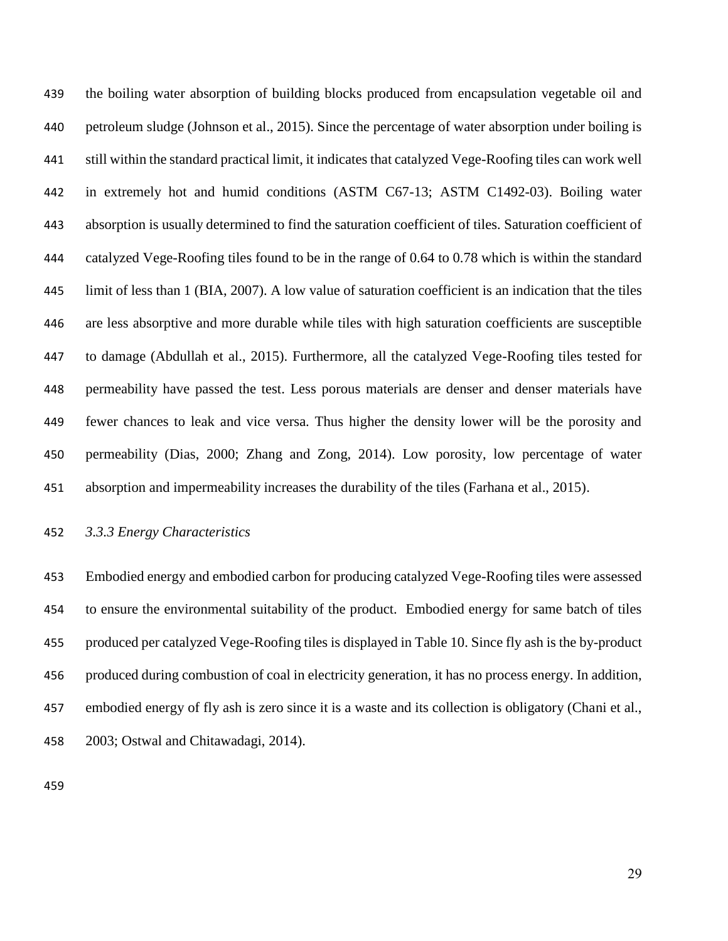the boiling water absorption of building blocks produced from encapsulation vegetable oil and petroleum sludge (Johnson et al., 2015). Since the percentage of water absorption under boiling is still within the standard practical limit, it indicates that catalyzed Vege-Roofing tiles can work well in extremely hot and humid conditions (ASTM C67-13; ASTM C1492-03). Boiling water absorption is usually determined to find the saturation coefficient of tiles. Saturation coefficient of catalyzed Vege-Roofing tiles found to be in the range of 0.64 to 0.78 which is within the standard limit of less than 1 (BIA, 2007). A low value of saturation coefficient is an indication that the tiles are less absorptive and more durable while tiles with high saturation coefficients are susceptible to damage (Abdullah et al., 2015). Furthermore, all the catalyzed Vege-Roofing tiles tested for permeability have passed the test. Less porous materials are denser and denser materials have fewer chances to leak and vice versa. Thus higher the density lower will be the porosity and permeability (Dias, 2000; Zhang and Zong, 2014). Low porosity, low percentage of water absorption and impermeability increases the durability of the tiles (Farhana et al., 2015).

# *3.3.3 Energy Characteristics*

 Embodied energy and embodied carbon for producing catalyzed Vege-Roofing tiles were assessed to ensure the environmental suitability of the product. Embodied energy for same batch of tiles produced per catalyzed Vege-Roofing tiles is displayed in Table 10. Since fly ash is the by-product produced during combustion of coal in electricity generation, it has no process energy. In addition, embodied energy of fly ash is zero since it is a waste and its collection is obligatory (Chani et al., 2003; Ostwal and Chitawadagi, 2014).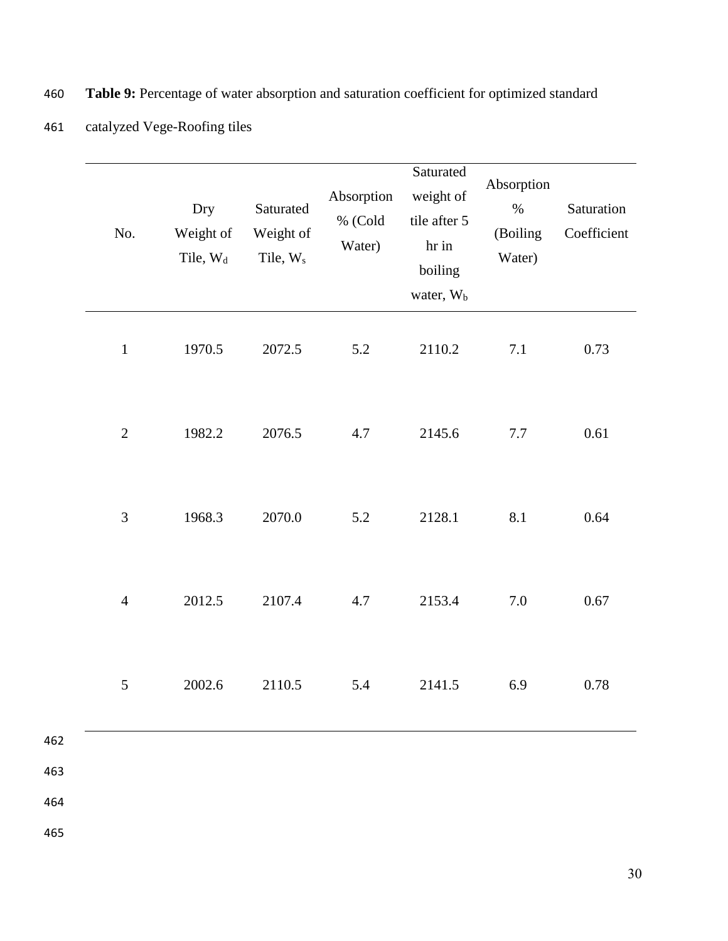| No.            | Dry<br>Weight of<br>Tile, W <sub>d</sub> | Saturated<br>Weight of<br>Tile, W <sub>s</sub> | Absorption<br>% (Cold<br>Water) | Saturated<br>weight of<br>tile after 5<br>hr in<br>boiling<br>water, W <sub>b</sub> | Absorption<br>$\%$<br>(Boiling<br>Water) | Saturation<br>Coefficient |
|----------------|------------------------------------------|------------------------------------------------|---------------------------------|-------------------------------------------------------------------------------------|------------------------------------------|---------------------------|
| $\mathbf{1}$   | 1970.5                                   | 2072.5                                         | 5.2                             | 2110.2                                                                              | 7.1                                      | 0.73                      |
| $\overline{2}$ | 1982.2                                   | 2076.5                                         | 4.7                             | 2145.6                                                                              | $7.7\,$                                  | 0.61                      |
| $\overline{3}$ | 1968.3                                   | 2070.0                                         | 5.2                             | 2128.1                                                                              | 8.1                                      | 0.64                      |
| $\overline{4}$ | 2012.5                                   | 2107.4                                         | 4.7                             | 2153.4                                                                              | 7.0                                      | 0.67                      |
| 5              | 2002.6                                   | 2110.5                                         | 5.4                             | 2141.5                                                                              | 6.9                                      | 0.78                      |
|                |                                          |                                                |                                 |                                                                                     |                                          |                           |

- 460 **Table 9:** Percentage of water absorption and saturation coefficient for optimized standard
	- 461 catalyzed Vege-Roofing tiles

463

464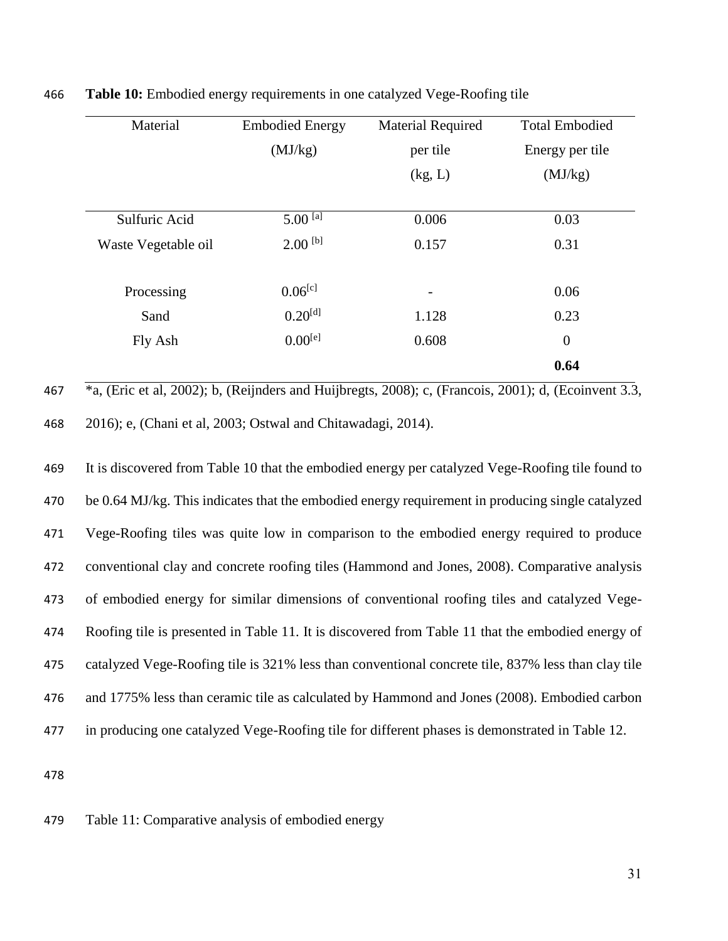| Material            | <b>Embodied Energy</b> | <b>Material Required</b> | <b>Total Embodied</b> |  |
|---------------------|------------------------|--------------------------|-----------------------|--|
|                     | (MJ/kg)                | per tile                 | Energy per tile       |  |
|                     |                        | (kg, L)                  | (MJ/kg)               |  |
| Sulfuric Acid       | $5.00$ [a]             | 0.006                    | 0.03                  |  |
| Waste Vegetable oil | $2.00$ [b]             | 0.157                    | 0.31                  |  |
| Processing          | $0.06^{[c]}$           | $\overline{\phantom{a}}$ | 0.06                  |  |
| Sand                | $0.20^{[d]}$           | 1.128                    | 0.23                  |  |
| Fly Ash             | $0.00^{[e]}$           | 0.608                    | $\overline{0}$        |  |
|                     |                        |                          | 0.64                  |  |

466 **Table 10:** Embodied energy requirements in one catalyzed Vege-Roofing tile

467 \*a, (Eric et al, 2002); b, (Reijnders and Huijbregts, 2008); c, (Francois, 2001); d, (Ecoinvent 3.3, 468 2016); e, (Chani et al, 2003; Ostwal and Chitawadagi, 2014).

 It is discovered from Table 10 that the embodied energy per catalyzed Vege-Roofing tile found to be 0.64 MJ/kg. This indicates that the embodied energy requirement in producing single catalyzed Vege-Roofing tiles was quite low in comparison to the embodied energy required to produce conventional clay and concrete roofing tiles (Hammond and Jones, 2008). Comparative analysis of embodied energy for similar dimensions of conventional roofing tiles and catalyzed Vege- Roofing tile is presented in Table 11. It is discovered from Table 11 that the embodied energy of catalyzed Vege-Roofing tile is 321% less than conventional concrete tile, 837% less than clay tile and 1775% less than ceramic tile as calculated by Hammond and Jones (2008). Embodied carbon in producing one catalyzed Vege-Roofing tile for different phases is demonstrated in Table 12.

478

479 Table 11: Comparative analysis of embodied energy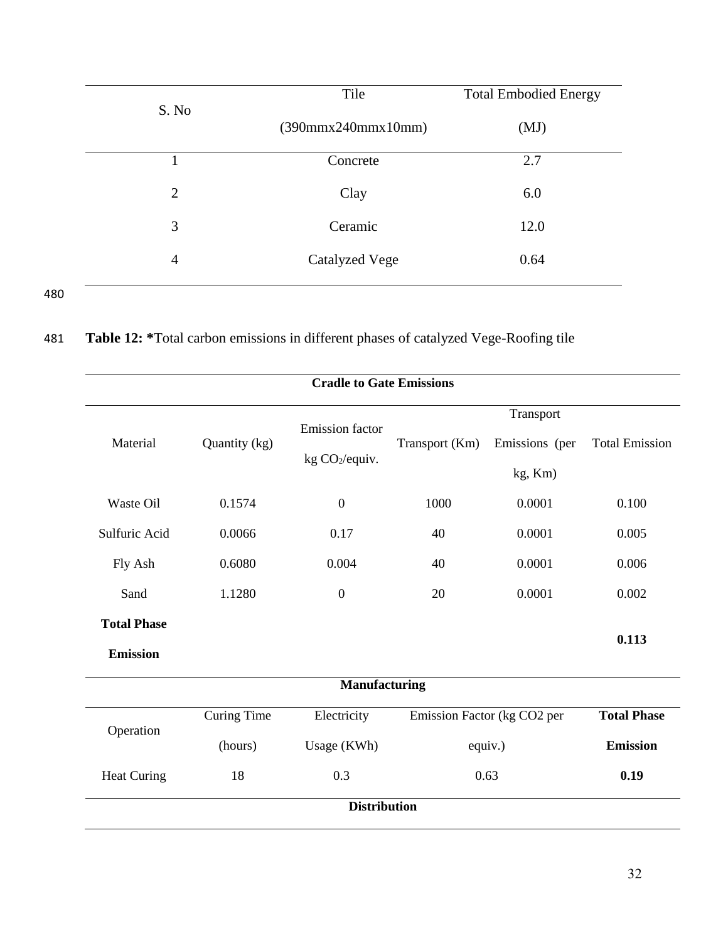|       | Tile                             | <b>Total Embodied Energy</b> |  |  |
|-------|----------------------------------|------------------------------|--|--|
| S. No | $(390$ mmx $240$ mmx $10$ mm $)$ | (MJ)                         |  |  |
|       | Concrete                         | 2.7                          |  |  |
| 2     | Clay                             | 6.0                          |  |  |
| 3     | Ceramic                          | 12.0                         |  |  |
| 4     | Catalyzed Vege                   | 0.64                         |  |  |
|       |                                  |                              |  |  |

| 481 | Table 12: *Total carbon emissions in different phases of catalyzed Vege-Roofing tile |  |  |  |
|-----|--------------------------------------------------------------------------------------|--|--|--|
|     |                                                                                      |  |  |  |

| <b>Cradle to Gate Emissions</b> |                    |                            |                |                             |                       |  |  |
|---------------------------------|--------------------|----------------------------|----------------|-----------------------------|-----------------------|--|--|
|                                 |                    | <b>Emission</b> factor     |                | Transport                   |                       |  |  |
| Material                        | Quantity (kg)      | kg CO <sub>2</sub> /equiv. | Transport (Km) | Emissions (per              | <b>Total Emission</b> |  |  |
|                                 |                    |                            |                | kg, Km)                     |                       |  |  |
| Waste Oil                       | 0.1574             | $\boldsymbol{0}$           | 1000           | 0.0001                      | 0.100                 |  |  |
| Sulfuric Acid                   | 0.0066             | 0.17                       | 40             | 0.0001                      | 0.005                 |  |  |
| Fly Ash                         | 0.6080             | 0.004                      | 40             | 0.0001                      | 0.006                 |  |  |
| Sand                            | 1.1280             | $\mathbf{0}$               | 20             | 0.0001                      | 0.002                 |  |  |
| <b>Total Phase</b>              |                    |                            |                |                             |                       |  |  |
| <b>Emission</b>                 |                    |                            |                |                             | 0.113                 |  |  |
|                                 |                    | Manufacturing              |                |                             |                       |  |  |
| Operation                       | <b>Curing Time</b> | Electricity                |                | Emission Factor (kg CO2 per | <b>Total Phase</b>    |  |  |
|                                 | (hours)            | Usage (KWh)                |                | equiv.)                     | <b>Emission</b>       |  |  |
| <b>Heat Curing</b>              | 18                 | 0.3                        | 0.63<br>0.19   |                             |                       |  |  |
| <b>Distribution</b>             |                    |                            |                |                             |                       |  |  |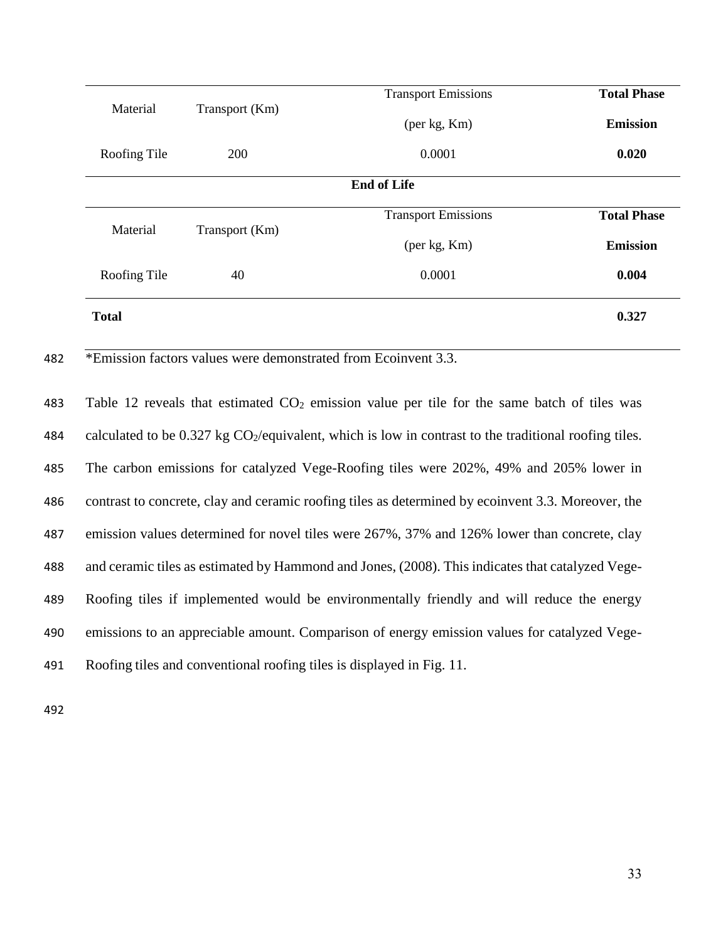|              |                | <b>Transport Emissions</b> | <b>Total Phase</b> |
|--------------|----------------|----------------------------|--------------------|
| Material     | Transport (Km) | (per kg, Km)               | <b>Emission</b>    |
| Roofing Tile | 200            | 0.0001                     | 0.020              |
|              |                | <b>End of Life</b>         |                    |
| Material     |                | <b>Transport Emissions</b> | <b>Total Phase</b> |
|              | Transport (Km) | (per kg, Km)               | <b>Emission</b>    |
| Roofing Tile | 40             | 0.0001                     | 0.004              |
| <b>Total</b> |                |                            | 0.327              |

482 \*Emission factors values were demonstrated from Ecoinvent 3.3.

483 Table 12 reveals that estimated  $CO<sub>2</sub>$  emission value per tile for the same batch of tiles was 484 calculated to be  $0.327$  kg  $CO<sub>2</sub>/equivalent$ , which is low in contrast to the traditional roofing tiles. 485 The carbon emissions for catalyzed Vege-Roofing tiles were 202%, 49% and 205% lower in 486 contrast to concrete, clay and ceramic roofing tiles as determined by ecoinvent 3.3. Moreover, the 487 emission values determined for novel tiles were 267%, 37% and 126% lower than concrete, clay 488 and ceramic tiles as estimated by Hammond and Jones, (2008). This indicates that catalyzed Vege-489 Roofing tiles if implemented would be environmentally friendly and will reduce the energy 490 emissions to an appreciable amount. Comparison of energy emission values for catalyzed Vege-491 Roofing tiles and conventional roofing tiles is displayed in Fig. 11.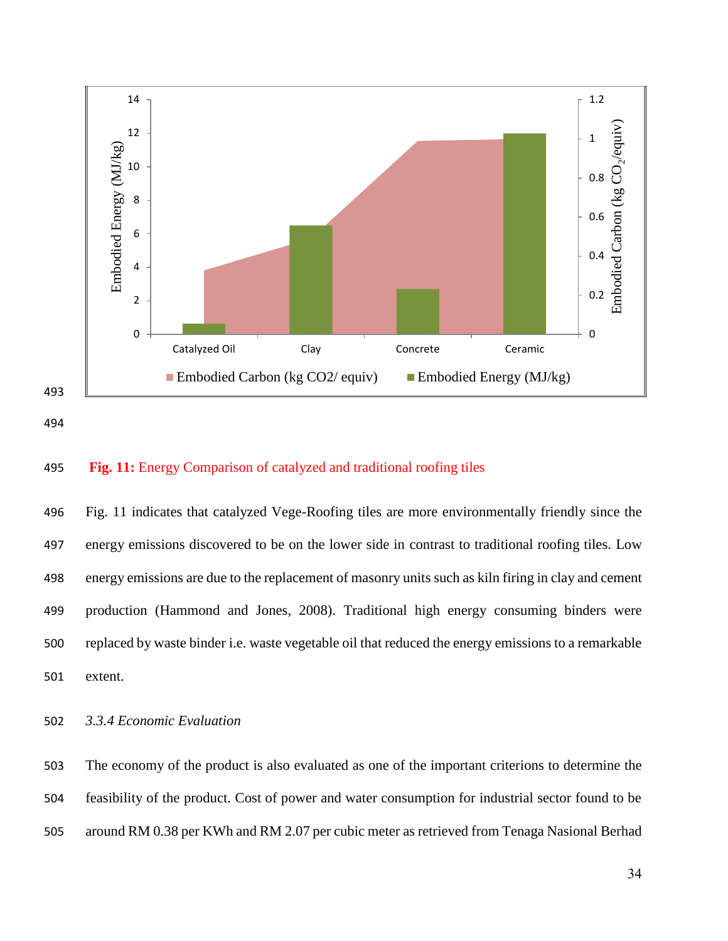



## **Fig. 11:** Energy Comparison of catalyzed and traditional roofing tiles

 Fig. 11 indicates that catalyzed Vege-Roofing tiles are more environmentally friendly since the energy emissions discovered to be on the lower side in contrast to traditional roofing tiles. Low energy emissions are due to the replacement of masonry units such as kiln firing in clay and cement production (Hammond and Jones, 2008). Traditional high energy consuming binders were replaced by waste binder i.e. waste vegetable oil that reduced the energy emissions to a remarkable extent.

*3.3.4 Economic Evaluation*

 The economy of the product is also evaluated as one of the important criterions to determine the feasibility of the product. Cost of power and water consumption for industrial sector found to be around RM 0.38 per KWh and RM 2.07 per cubic meter as retrieved from Tenaga Nasional Berhad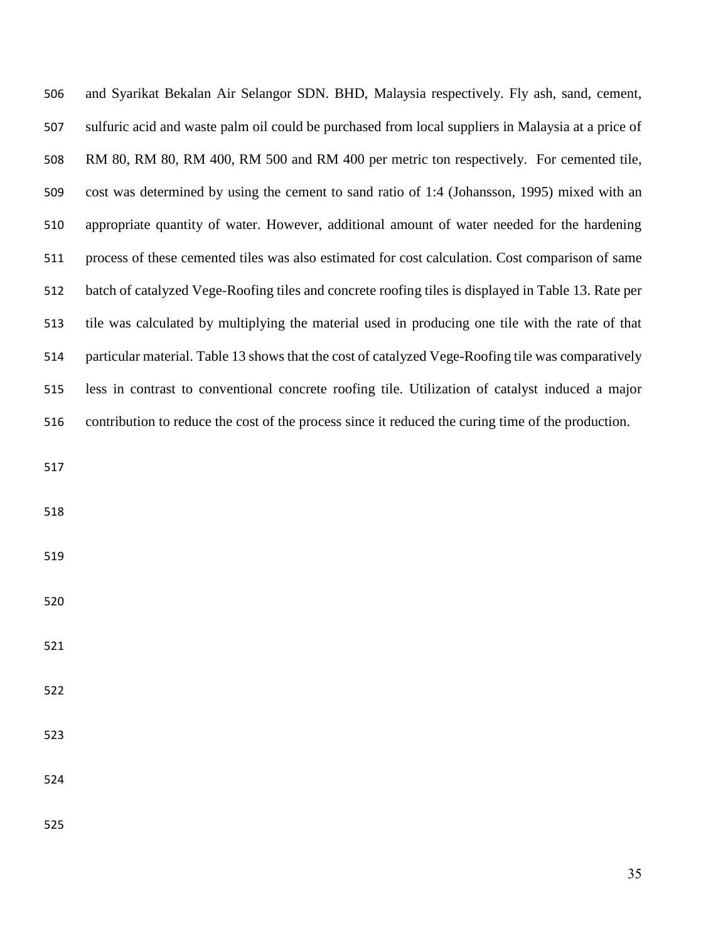| 506 | and Syarikat Bekalan Air Selangor SDN. BHD, Malaysia respectively. Fly ash, sand, cement,           |
|-----|-----------------------------------------------------------------------------------------------------|
| 507 | sulfuric acid and waste palm oil could be purchased from local suppliers in Malaysia at a price of  |
| 508 | RM 80, RM 80, RM 400, RM 500 and RM 400 per metric ton respectively. For cemented tile,             |
| 509 | cost was determined by using the cement to sand ratio of 1:4 (Johansson, 1995) mixed with an        |
| 510 | appropriate quantity of water. However, additional amount of water needed for the hardening         |
| 511 | process of these cemented tiles was also estimated for cost calculation. Cost comparison of same    |
| 512 | batch of catalyzed Vege-Roofing tiles and concrete roofing tiles is displayed in Table 13. Rate per |
| 513 | tile was calculated by multiplying the material used in producing one tile with the rate of that    |
| 514 | particular material. Table 13 shows that the cost of catalyzed Vege-Roofing tile was comparatively  |
| 515 | less in contrast to conventional concrete roofing tile. Utilization of catalyst induced a major     |
| 516 | contribution to reduce the cost of the process since it reduced the curing time of the production.  |
| 517 |                                                                                                     |
| 518 |                                                                                                     |
| 519 |                                                                                                     |
| 520 |                                                                                                     |
| 521 |                                                                                                     |
| 522 |                                                                                                     |
| 523 |                                                                                                     |
| 524 |                                                                                                     |
| 525 |                                                                                                     |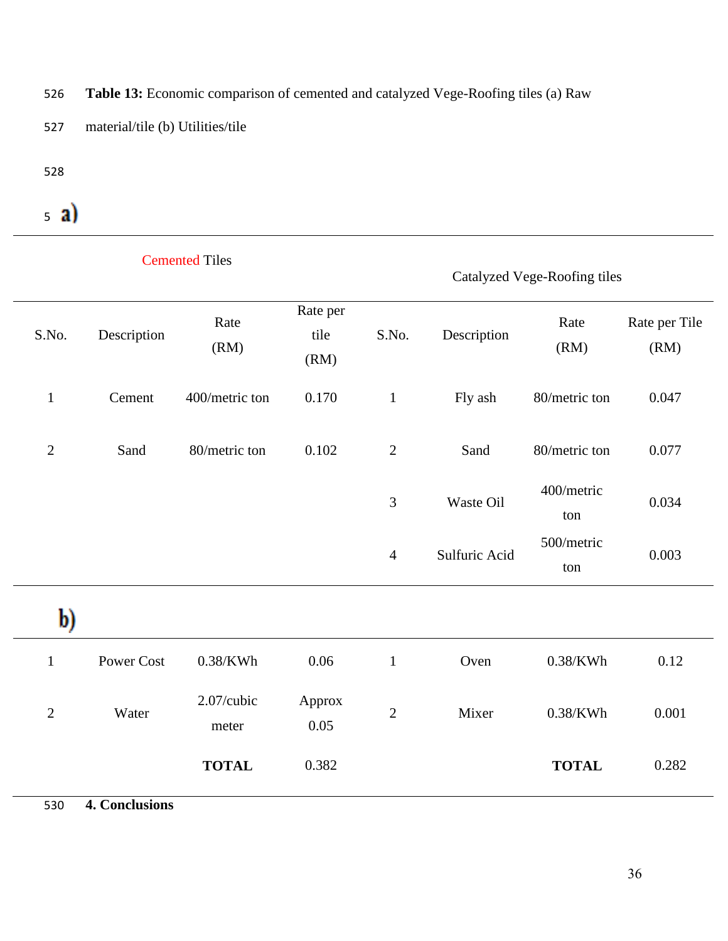526 **Table 13:** Economic comparison of cemented and catalyzed Vege-Roofing tiles (a) Raw

- 527 material/tile (b) Utilities/tile
- 528

# $5a)$

|                |                | <b>Cemented Tiles</b> |                          | Catalyzed Vege-Roofing tiles |               |                   |                       |  |
|----------------|----------------|-----------------------|--------------------------|------------------------------|---------------|-------------------|-----------------------|--|
| S.No.          | Description    | Rate<br>(RM)          | Rate per<br>tile<br>(RM) | S.No.                        | Description   | Rate<br>(RM)      | Rate per Tile<br>(RM) |  |
| $\mathbf{1}$   | Cement         | 400/metric ton        | 0.170                    | $\mathbf{1}$                 | Fly ash       | 80/metric ton     | 0.047                 |  |
| $\overline{2}$ | Sand           | 80/metric ton         | 0.102                    | $\mathbf{2}$                 | Sand          | 80/metric ton     | 0.077                 |  |
|                |                |                       |                          | 3                            | Waste Oil     | 400/metric<br>ton | 0.034                 |  |
|                |                |                       |                          | $\overline{4}$               | Sulfuric Acid | 500/metric<br>ton | 0.003                 |  |
| b)             |                |                       |                          |                              |               |                   |                       |  |
| $\mathbf{1}$   | Power Cost     | $0.38$ /KWh           | 0.06                     | $\mathbf{1}$                 | Oven          | $0.38$ /KWh       | 0.12                  |  |
| $\sqrt{2}$     | Water          | 2.07/cubic<br>meter   | Approx<br>0.05           | $\sqrt{2}$                   | Mixer         | $0.38$ /KWh       | 0.001                 |  |
|                |                | <b>TOTAL</b>          | 0.382                    |                              |               | <b>TOTAL</b>      | 0.282                 |  |
| 530            | 4. Conclusions |                       |                          |                              |               |                   |                       |  |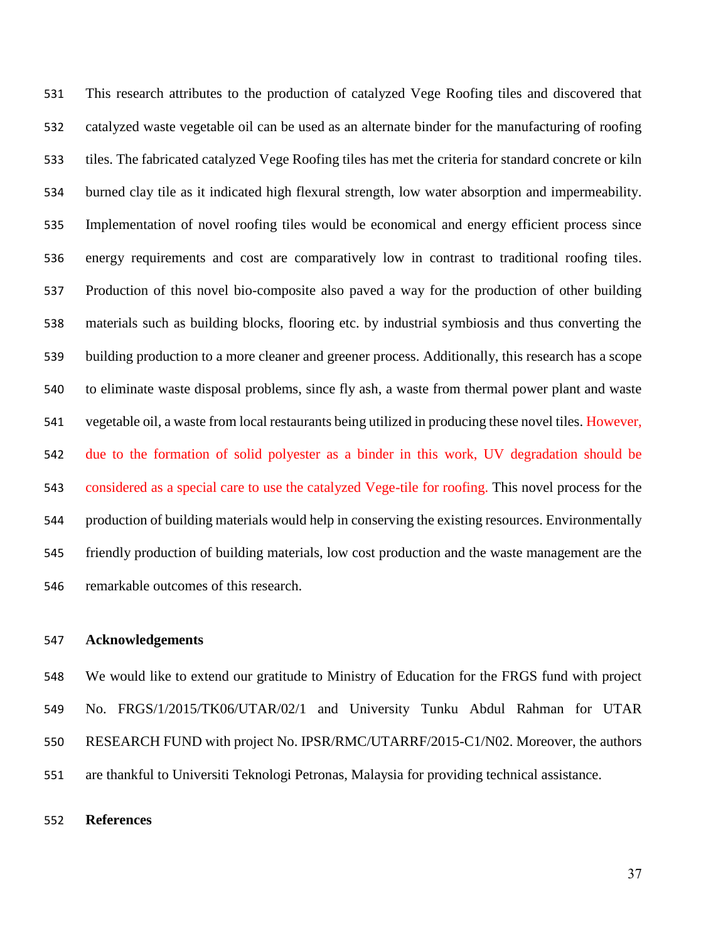This research attributes to the production of catalyzed Vege Roofing tiles and discovered that catalyzed waste vegetable oil can be used as an alternate binder for the manufacturing of roofing tiles. The fabricated catalyzed Vege Roofing tiles has met the criteria for standard concrete or kiln burned clay tile as it indicated high flexural strength, low water absorption and impermeability. Implementation of novel roofing tiles would be economical and energy efficient process since energy requirements and cost are comparatively low in contrast to traditional roofing tiles. Production of this novel bio-composite also paved a way for the production of other building materials such as building blocks, flooring etc. by industrial symbiosis and thus converting the building production to a more cleaner and greener process. Additionally, this research has a scope to eliminate waste disposal problems, since fly ash, a waste from thermal power plant and waste vegetable oil, a waste from local restaurants being utilized in producing these novel tiles. However, due to the formation of solid polyester as a binder in this work, UV degradation should be considered as a special care to use the catalyzed Vege-tile for roofing. This novel process for the production of building materials would help in conserving the existing resources. Environmentally friendly production of building materials, low cost production and the waste management are the remarkable outcomes of this research.

## **Acknowledgements**

 We would like to extend our gratitude to Ministry of Education for the FRGS fund with project No. FRGS/1/2015/TK06/UTAR/02/1 and University Tunku Abdul Rahman for UTAR RESEARCH FUND with project No. IPSR/RMC/UTARRF/2015-C1/N02. Moreover, the authors are thankful to Universiti Teknologi Petronas, Malaysia for providing technical assistance.

## **References**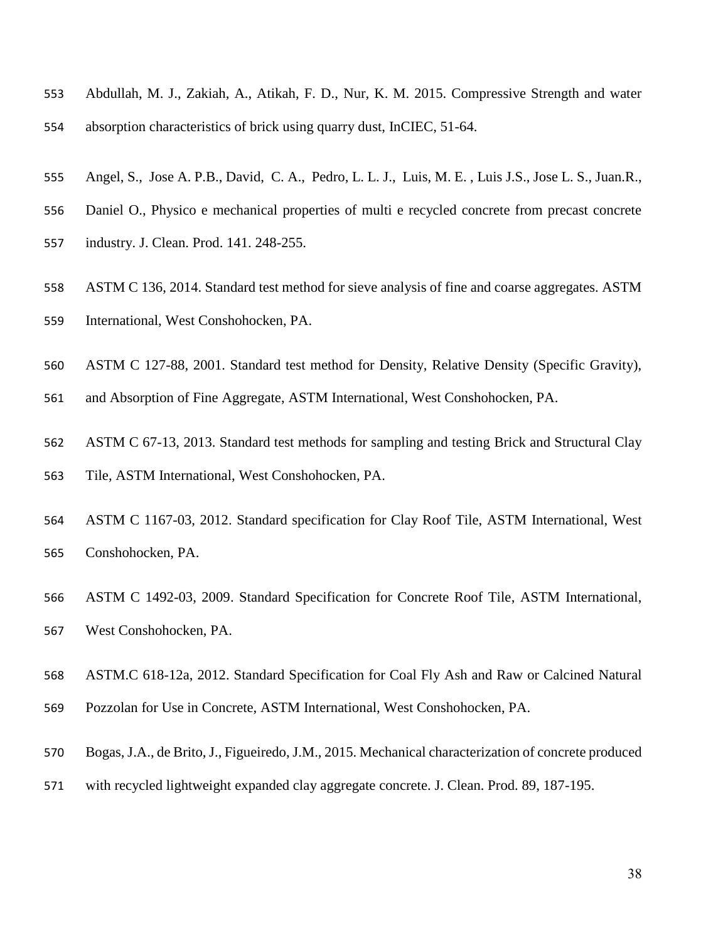- Abdullah, M. J., Zakiah, A., Atikah, F. D., Nur, K. M. 2015. Compressive Strength and water absorption characteristics of brick using quarry dust, InCIEC, 51-64.
- Angel, S., Jose A. P.B., David, C. A., Pedro, L. L. J., Luis, M. E. , Luis J.S., Jose L. S., Juan.R.,
- Daniel O., Physico e mechanical properties of multi e recycled concrete from precast concrete
- industry. J. Clean. Prod. 141. 248-255.
- ASTM C 136, 2014. Standard test method for sieve analysis of fine and coarse aggregates. ASTM
- International, West Conshohocken, PA.
- ASTM C 127-88, 2001. Standard test method for Density, Relative Density (Specific Gravity),
- and Absorption of Fine Aggregate, ASTM International, West Conshohocken, PA.
- ASTM C 67-13, 2013. Standard test methods for sampling and testing Brick and Structural Clay Tile, ASTM International, West Conshohocken, PA.
- ASTM C 1167-03, 2012. Standard specification for Clay Roof Tile, ASTM International, West Conshohocken, PA.
- ASTM C 1492-03, 2009. Standard Specification for Concrete Roof Tile, ASTM International, West Conshohocken, PA.
- ASTM.C 618-12a, 2012. Standard Specification for Coal Fly Ash and Raw or Calcined Natural
- Pozzolan for Use in Concrete, ASTM International, West Conshohocken, PA.
- Bogas, J.A., de Brito, J., Figueiredo, J.M., 2015. Mechanical characterization of concrete produced
- with recycled lightweight expanded clay aggregate concrete. J. Clean. Prod. 89, 187-195.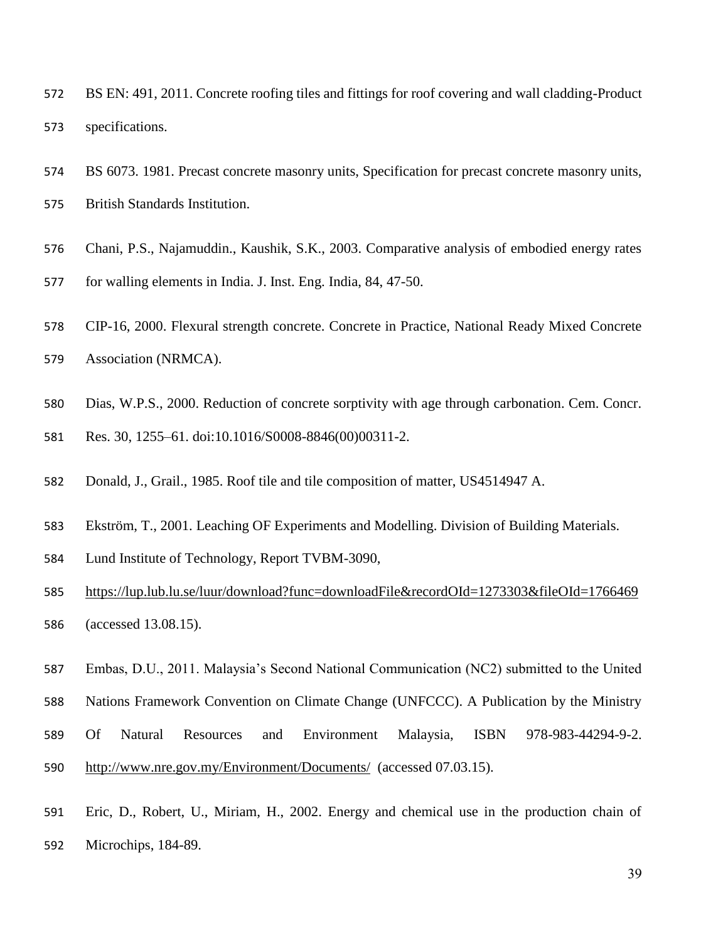- BS EN: 491, 2011. Concrete roofing tiles and fittings for roof covering and wall cladding-Product specifications.
- BS 6073. 1981. Precast concrete masonry units, Specification for precast concrete masonry units,
- British Standards Institution.
- Chani, P.S., Najamuddin., Kaushik, S.K., 2003. Comparative analysis of embodied energy rates
- for walling elements in India. J. Inst. Eng. India, 84, 47-50.
- CIP-16, 2000. Flexural strength concrete. Concrete in Practice, National Ready Mixed Concrete
- Association (NRMCA).
- Dias, W.P.S., 2000. Reduction of concrete sorptivity with age through carbonation. Cem. Concr.
- Res. 30, 1255–61. doi:10.1016/S0008-8846(00)00311-2.
- Donald, J., Grail., 1985. Roof tile and tile composition of matter, US4514947 A.
- Ekström, T., 2001. Leaching OF Experiments and Modelling. Division of Building Materials.
- Lund Institute of Technology, Report TVBM-3090,
- <https://lup.lub.lu.se/luur/download?func=downloadFile&recordOId=1273303&fileOId=1766469> (accessed 13.08.15).
- Embas, D.U., 2011. Malaysia's Second National Communication (NC2) submitted to the United
- Nations Framework Convention on Climate Change (UNFCCC). A Publication by the Ministry
- Of Natural Resources and Environment Malaysia, ISBN 978-983-44294-9-2. <http://www.nre.gov.my/Environment/Documents/>(accessed 07.03.15).
- Eric, D., Robert, U., Miriam, H., 2002. Energy and chemical use in the production chain of Microchips, 184-89.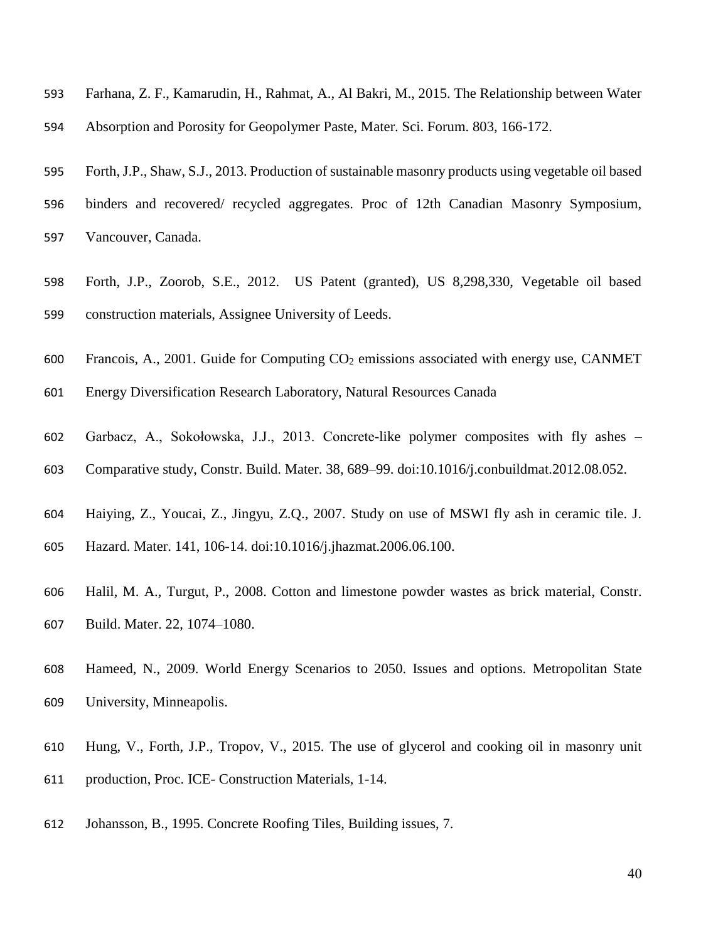- Farhana, Z. F., Kamarudin, H., Rahmat, A., Al Bakri, M., 2015. The Relationship between Water Absorption and Porosity for Geopolymer Paste, Mater. Sci. Forum. 803, 166-172.
- Forth, J.P., Shaw, S.J., 2013. Production of sustainable masonry products using vegetable oil based
- binders and recovered/ recycled aggregates. Proc of 12th Canadian Masonry Symposium, Vancouver, Canada.
- Forth, J.P., Zoorob, S.E., 2012. US Patent (granted), US 8,298,330, Vegetable oil based construction materials, Assignee University of Leeds.
- 600 Francois, A., 2001. Guide for Computing  $CO<sub>2</sub>$  emissions associated with energy use, CANMET
- Energy Diversification Research Laboratory, Natural Resources Canada
- Garbacz, A., Sokołowska, J.J., 2013. Concrete-like polymer composites with fly ashes –
- Comparative study, Constr. Build. Mater. 38, 689–99. doi:10.1016/j.conbuildmat.2012.08.052.
- Haiying, Z., Youcai, Z., Jingyu, Z.Q., 2007. Study on use of MSWI fly ash in ceramic tile. J.
- Hazard. Mater. 141, 106-14. doi:10.1016/j.jhazmat.2006.06.100.
- Halil, M. A., Turgut, P., 2008. Cotton and limestone powder wastes as brick material, Constr. Build. Mater. 22, 1074–1080.
- Hameed, N., 2009. World Energy Scenarios to 2050. Issues and options. Metropolitan State University, Minneapolis.
- Hung, V., Forth, J.P., Tropov, V., 2015. The use of glycerol and cooking oil in masonry unit production, Proc. ICE- Construction Materials, 1-14.
- Johansson, B., 1995. Concrete Roofing Tiles, Building issues, 7.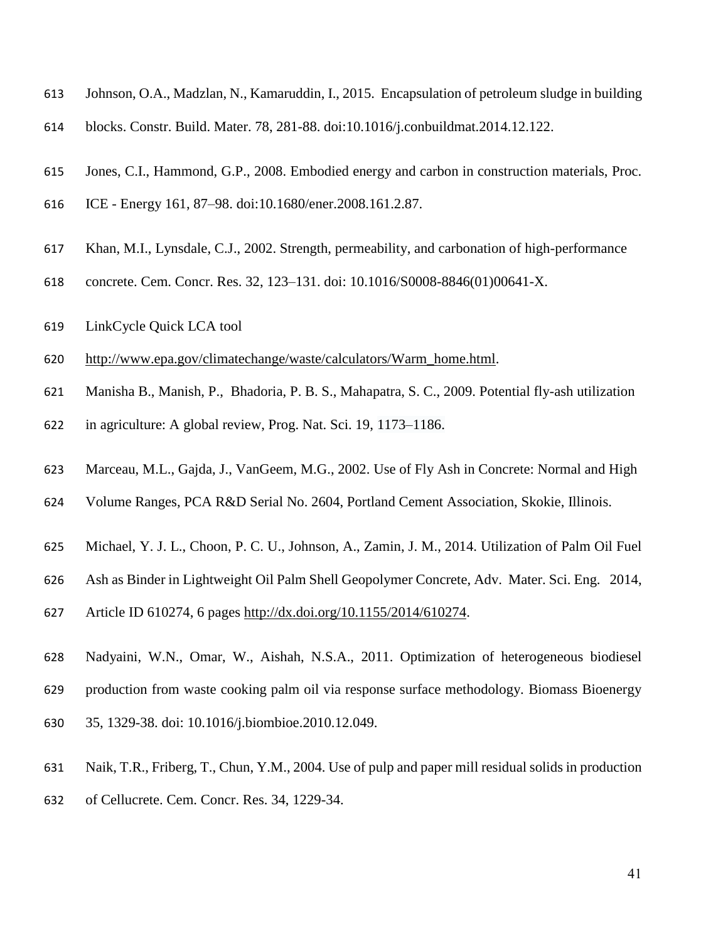- Johnson, O.A., Madzlan, N., Kamaruddin, I., 2015. Encapsulation of petroleum sludge in building
- blocks. Constr. Build. Mater. 78, 281-88. doi:10.1016/j.conbuildmat.2014.12.122.
- Jones, C.I., Hammond, G.P., 2008. Embodied energy and carbon in construction materials, Proc.
- ICE Energy 161, 87–98. doi:10.1680/ener.2008.161.2.87.
- Khan, M.I., Lynsdale, C.J., 2002. Strength, permeability, and carbonation of high-performance
- concrete. Cem. Concr. Res. 32, 123–131. doi: 10.1016/S0008-8846(01)00641-X.
- LinkCycle Quick LCA tool
- [http://www.epa.gov/climatechange/waste/calculators/Warm\\_home.html.](http://www.epa.gov/climatechange/waste/calculators/Warm_home.html)
- Manisha B., Manish, P., Bhadoria, P. B. S., Mahapatra, S. C., 2009. Potential fly-ash utilization
- in agriculture: A global review, Prog. Nat. Sci. 19, 1173–1186.
- Marceau, M.L., Gajda, J., VanGeem, M.G., 2002. Use of Fly Ash in Concrete: Normal and High
- Volume Ranges, PCA R&D Serial No. 2604, Portland Cement Association, Skokie, Illinois.
- Michael, Y. J. L., Choon, P. C. U., Johnson, A., Zamin, J. M., 2014. Utilization of Palm Oil Fuel
- Ash as Binder in Lightweight Oil Palm Shell Geopolymer Concrete, Adv. Mater. Sci. Eng. 2014,
- Article ID 610274, 6 pages [http://dx.doi.org/10.1155/2014/610274.](http://dx.doi.org/10.1155/2014/610274)
- Nadyaini, W.N., Omar, W., Aishah, N.S.A., 2011. Optimization of heterogeneous biodiesel production from waste cooking palm oil via response surface methodology. Biomass Bioenergy 35, 1329-38. doi: 10.1016/j.biombioe.2010.12.049.
- Naik, T.R., Friberg, T., Chun, Y.M., 2004. Use of pulp and paper mill residual solids in production
- of Cellucrete. Cem. Concr. Res. 34, 1229-34.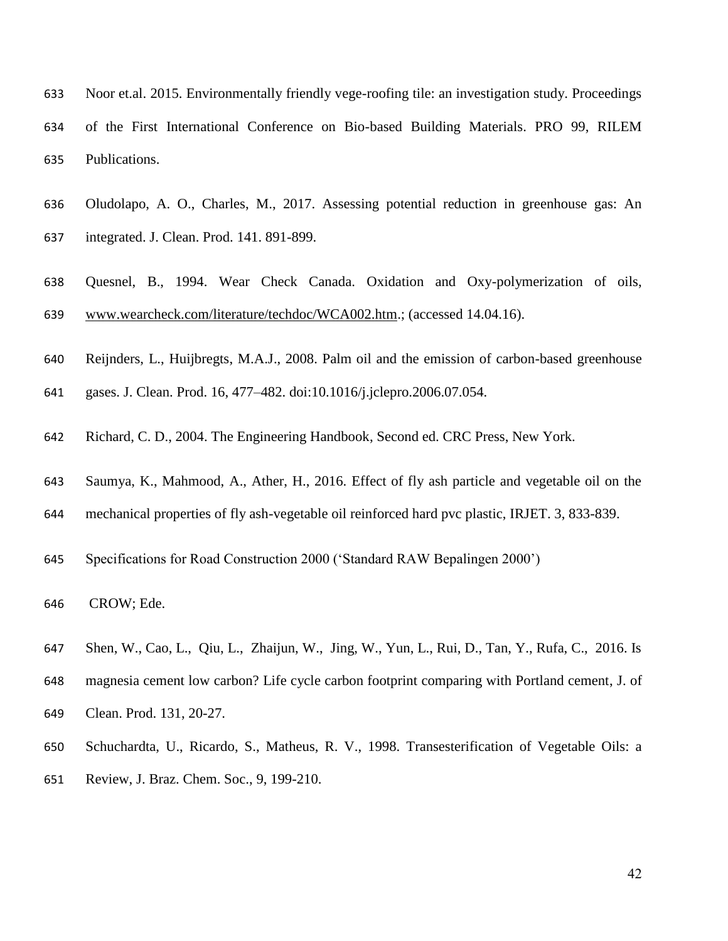- Noor et.al. 2015. Environmentally friendly vege-roofing tile: an investigation study. Proceedings of the First International Conference on Bio-based Building Materials. PRO 99, RILEM Publications.
- Oludolapo, A. O., Charles, M., 2017. Assessing potential reduction in greenhouse gas: An integrated. J. Clean. Prod. 141. 891-899.
- Quesnel, B., 1994. Wear Check Canada. Oxidation and Oxy-polymerization of oils, [www.wearcheck.com/literature/techdoc/WCA002.htm.](http://www.wearcheck.com/literature/techdoc/WCA002.htm); (accessed 14.04.16).
- Reijnders, L., Huijbregts, M.A.J., 2008. Palm oil and the emission of carbon-based greenhouse
- gases. J. Clean. Prod. 16, 477–482. doi:10.1016/j.jclepro.2006.07.054.
- Richard, C. D., 2004. The Engineering Handbook, Second ed. CRC Press, New York.
- Saumya, K., Mahmood, A., Ather, H., 2016. Effect of fly ash particle and vegetable oil on the
- mechanical properties of fly ash-vegetable oil reinforced hard pvc plastic, IRJET. 3, 833-839.
- Specifications for Road Construction 2000 ('Standard RAW Bepalingen 2000')
- CROW; Ede.
- Shen, W., Cao, L., Qiu, L., Zhaijun, W., Jing, W., Yun, L., Rui, D., Tan, Y., Rufa, C., 2016. Is
- magnesia cement low carbon? Life cycle carbon footprint comparing with Portland cement, J. of
- Clean. Prod. 131, 20-27.
- Schuchardta, U., Ricardo, S., Matheus, R. V., 1998. Transesterification of Vegetable Oils: a Review, J. Braz. Chem. Soc., 9, 199-210.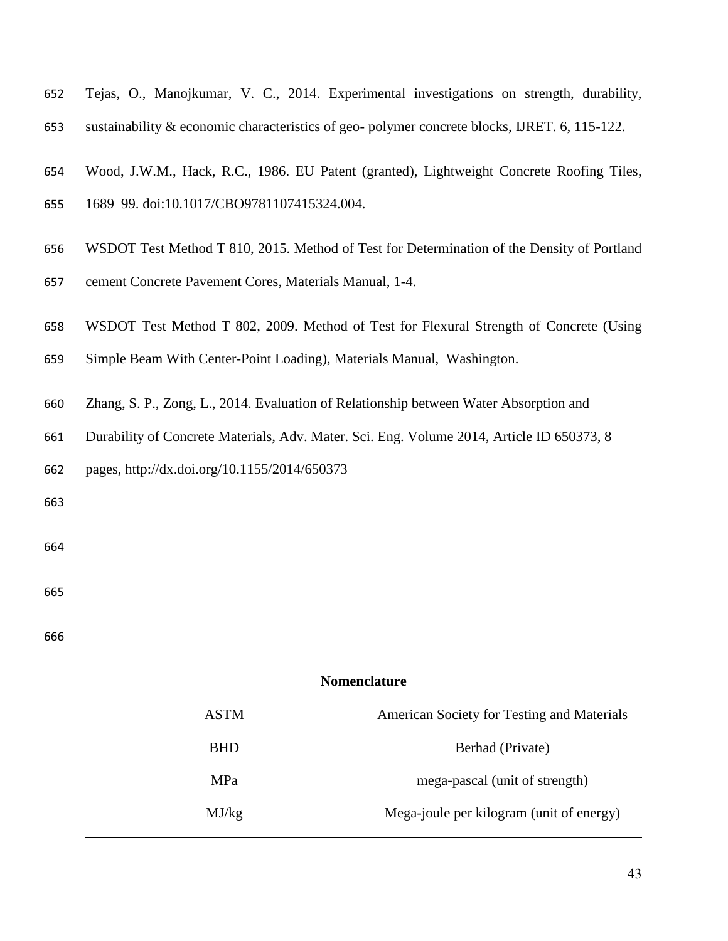| 652 |  |  | Tejas, O., Manojkumar, V. C., 2014. Experimental investigations on strength, durability,     |  |  |
|-----|--|--|----------------------------------------------------------------------------------------------|--|--|
| 653 |  |  | sustainability & economic characteristics of geo-polymer concrete blocks, IJRET. 6, 115-122. |  |  |

- Wood, J.W.M., Hack, R.C., 1986. EU Patent (granted), Lightweight Concrete Roofing Tiles,
- 1689–99. doi:10.1017/CBO9781107415324.004.
- WSDOT Test Method T 810, 2015. Method of Test for Determination of the Density of Portland
- cement Concrete Pavement Cores, Materials Manual, 1-4.
- WSDOT Test Method T 802, 2009. Method of Test for Flexural Strength of Concrete (Using
- Simple Beam With Center-Point Loading), Materials Manual, Washington.
- [Zhang,](https://www.hindawi.com/54590313/) S. P., [Zong,](https://www.hindawi.com/36270917/) L., 2014. Evaluation of Relationship between Water Absorption and
- Durability of Concrete Materials, Adv. Mater. Sci. Eng. Volume 2014, Article ID 650373, 8
- pages,<http://dx.doi.org/10.1155/2014/650373>
- 
- 
- 
- 

| <b>Nomenclature</b> |                                            |  |  |  |
|---------------------|--------------------------------------------|--|--|--|
| <b>ASTM</b>         | American Society for Testing and Materials |  |  |  |
| <b>BHD</b>          | Berhad (Private)                           |  |  |  |
| <b>MPa</b>          | mega-pascal (unit of strength)             |  |  |  |
| MJ/kg               | Mega-joule per kilogram (unit of energy)   |  |  |  |